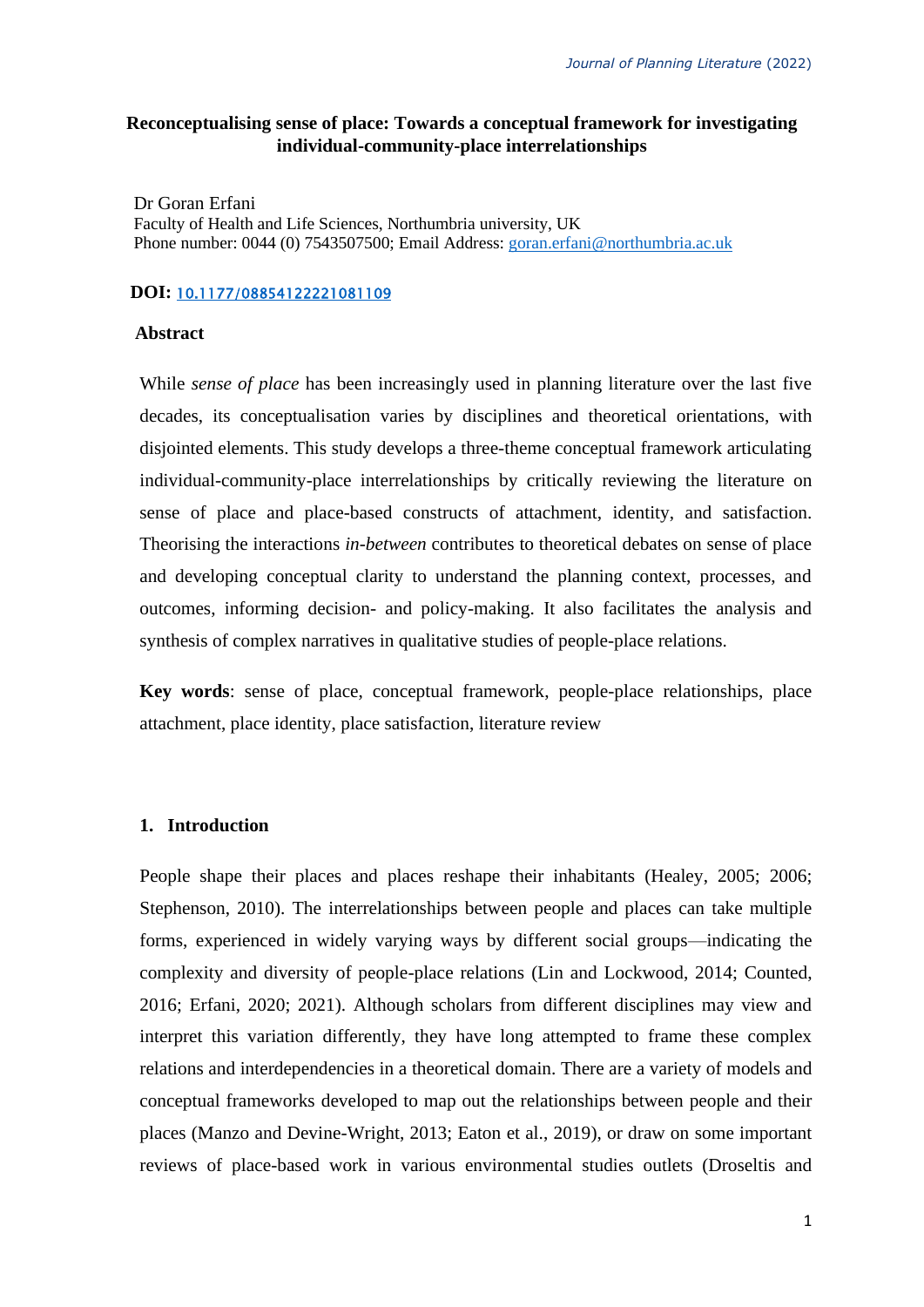# **Reconceptualising sense of place: Towards a conceptual framework for investigating individual-community-place interrelationships**

Dr Goran Erfani Faculty of Health and Life Sciences, Northumbria university, UK Phone number: 0044 (0) 7543507500; Email Address: [goran.erfani@northumbria.ac.uk](mailto:goran.erfani@northumbria.ac.uk)

#### **DOI:** [10.1177/08854122221081109](https://doi.org/10.1177/08854122221081109)

## **Abstract**

While *sense of place* has been increasingly used in planning literature over the last five decades, its conceptualisation varies by disciplines and theoretical orientations, with disjointed elements. This study develops a three-theme conceptual framework articulating individual-community-place interrelationships by critically reviewing the literature on sense of place and place-based constructs of attachment, identity, and satisfaction. Theorising the interactions *in-between* contributes to theoretical debates on sense of place and developing conceptual clarity to understand the planning context, processes, and outcomes, informing decision- and policy-making. It also facilitates the analysis and synthesis of complex narratives in qualitative studies of people-place relations.

**Key words**: sense of place, conceptual framework, people-place relationships, place attachment, place identity, place satisfaction, literature review

# **1. Introduction**

People shape their places and places reshape their inhabitants (Healey, 2005; 2006; Stephenson, 2010). The interrelationships between people and places can take multiple forms, experienced in widely varying ways by different social groups—indicating the complexity and diversity of people-place relations (Lin and Lockwood, 2014; Counted, 2016; Erfani, 2020; 2021). Although scholars from different disciplines may view and interpret this variation differently, they have long attempted to frame these complex relations and interdependencies in a theoretical domain. There are a variety of models and conceptual frameworks developed to map out the relationships between people and their places (Manzo and Devine-Wright, 2013; Eaton et al., 2019), or draw on some important reviews of place-based work in various environmental studies outlets (Droseltis and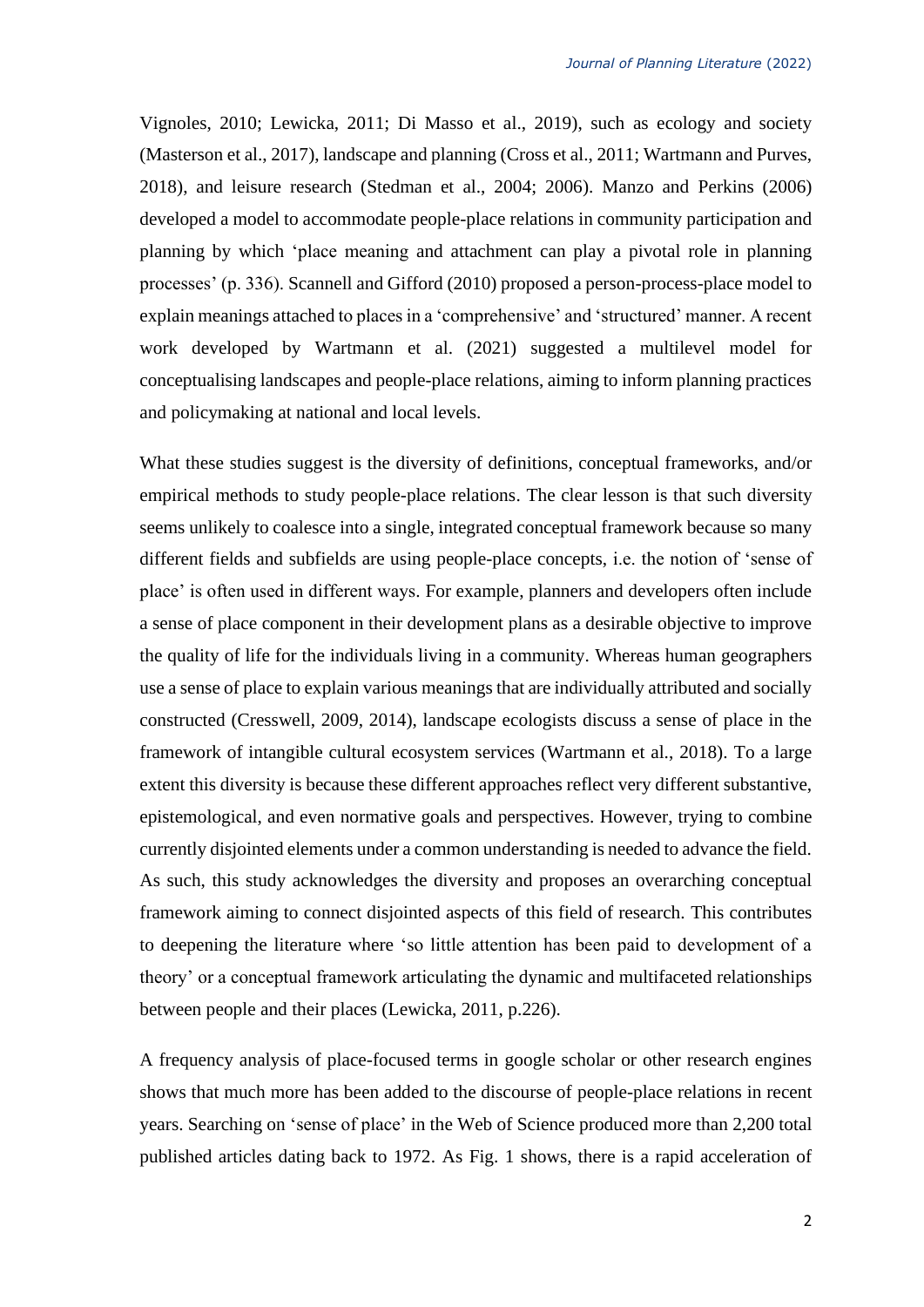Vignoles, 2010; Lewicka, 2011; Di Masso et al., 2019), such as ecology and society (Masterson et al., 2017), landscape and planning (Cross et al., 2011; Wartmann and Purves, 2018), and leisure research (Stedman et al., 2004; 2006). Manzo and Perkins (2006) developed a model to accommodate people-place relations in community participation and planning by which 'place meaning and attachment can play a pivotal role in planning processes' (p. 336). Scannell and Gifford (2010) proposed a person-process-place model to explain meanings attached to places in a 'comprehensive' and 'structured' manner. A recent work developed by Wartmann et al. (2021) suggested a multilevel model for conceptualising landscapes and people-place relations, aiming to inform planning practices and policymaking at national and local levels.

What these studies suggest is the diversity of definitions, conceptual frameworks, and/or empirical methods to study people-place relations. The clear lesson is that such diversity seems unlikely to coalesce into a single, integrated conceptual framework because so many different fields and subfields are using people-place concepts, i.e. the notion of 'sense of place' is often used in different ways. For example, planners and developers often include a sense of place component in their development plans as a desirable objective to improve the quality of life for the individuals living in a community. Whereas human geographers use a sense of place to explain various meanings that are individually attributed and socially constructed (Cresswell, 2009, 2014), landscape ecologists discuss a sense of place in the framework of intangible cultural ecosystem services (Wartmann et al., 2018). To a large extent this diversity is because these different approaches reflect very different substantive, epistemological, and even normative goals and perspectives. However, trying to combine currently disjointed elements under a common understanding is needed to advance the field. As such, this study acknowledges the diversity and proposes an overarching conceptual framework aiming to connect disjointed aspects of this field of research. This contributes to deepening the literature where 'so little attention has been paid to development of a theory' or a conceptual framework articulating the dynamic and multifaceted relationships between people and their places (Lewicka, 2011, p.226).

A frequency analysis of place-focused terms in google scholar or other research engines shows that much more has been added to the discourse of people-place relations in recent years. Searching on 'sense of place' in the Web of Science produced more than 2,200 total published articles dating back to 1972. As Fig. 1 shows, there is a rapid acceleration of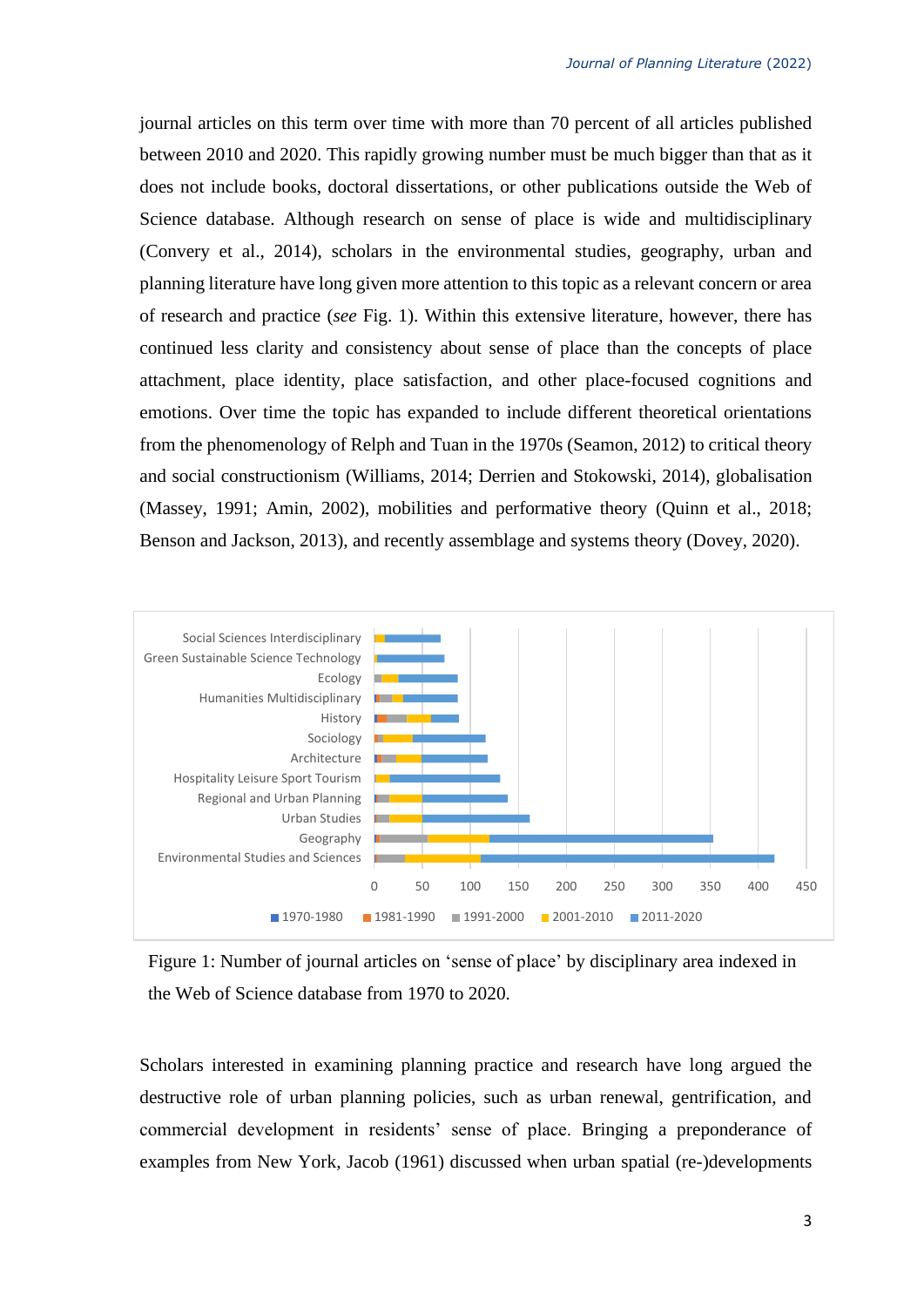journal articles on this term over time with more than 70 percent of all articles published between 2010 and 2020. This rapidly growing number must be much bigger than that as it does not include books, doctoral dissertations, or other publications outside the Web of Science database. Although research on sense of place is wide and multidisciplinary (Convery et al., 2014), scholars in the environmental studies, geography, urban and planning literature have long given more attention to this topic as a relevant concern or area of research and practice (*see* Fig. 1). Within this extensive literature, however, there has continued less clarity and consistency about sense of place than the concepts of place attachment, place identity, place satisfaction, and other place-focused cognitions and emotions. Over time the topic has expanded to include different theoretical orientations from the phenomenology of Relph and Tuan in the 1970s (Seamon, 2012) to critical theory and social constructionism (Williams, 2014; Derrien and Stokowski, 2014), globalisation (Massey, 1991; Amin, 2002), mobilities and performative theory (Quinn et al., 2018; Benson and Jackson, 2013), and recently assemblage and systems theory (Dovey, 2020).



Figure 1: Number of journal articles on 'sense of place' by disciplinary area indexed in the Web of Science database from 1970 to 2020.

Scholars interested in examining planning practice and research have long argued the destructive role of urban planning policies, such as urban renewal, gentrification, and commercial development in residents' sense of place. Bringing a preponderance of examples from New York, Jacob (1961) discussed when urban spatial (re-)developments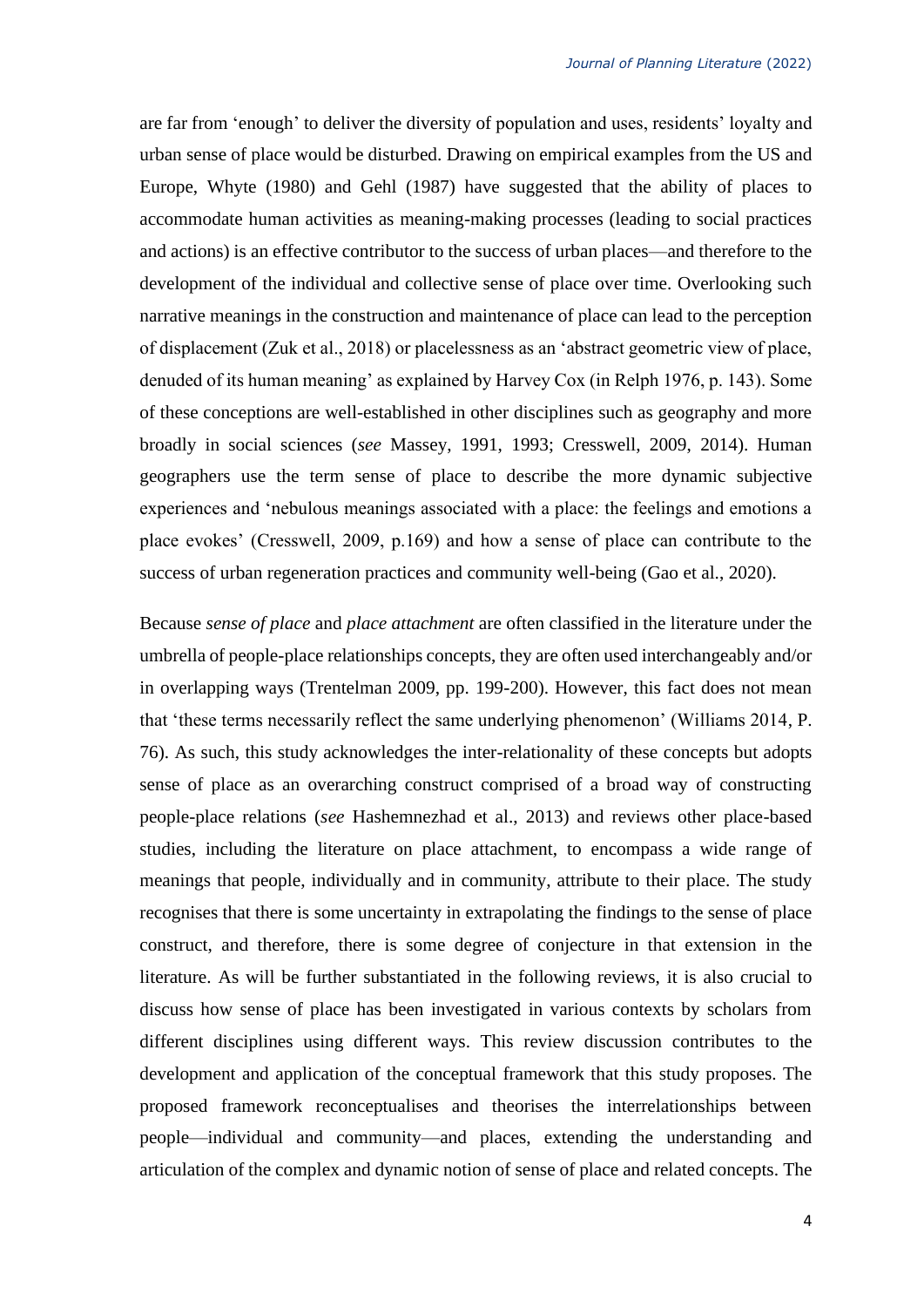are far from 'enough' to deliver the diversity of population and uses, residents' loyalty and urban sense of place would be disturbed. Drawing on empirical examples from the US and Europe, Whyte (1980) and Gehl (1987) have suggested that the ability of places to accommodate human activities as meaning-making processes (leading to social practices and actions) is an effective contributor to the success of urban places—and therefore to the development of the individual and collective sense of place over time. Overlooking such narrative meanings in the construction and maintenance of place can lead to the perception of displacement (Zuk et al., 2018) or placelessness as an 'abstract geometric view of place, denuded of its human meaning' as explained by Harvey Cox (in Relph 1976, p. 143). Some of these conceptions are well-established in other disciplines such as geography and more broadly in social sciences (*see* Massey, 1991, 1993; Cresswell, 2009, 2014). Human geographers use the term sense of place to describe the more dynamic subjective experiences and 'nebulous meanings associated with a place: the feelings and emotions a place evokes' (Cresswell, 2009, p.169) and how a sense of place can contribute to the success of urban regeneration practices and community well-being (Gao et al., 2020).

Because *sense of place* and *place attachment* are often classified in the literature under the umbrella of people-place relationships concepts, they are often used interchangeably and/or in overlapping ways (Trentelman 2009, pp. 199-200). However, this fact does not mean that 'these terms necessarily reflect the same underlying phenomenon' (Williams 2014, P. 76). As such, this study acknowledges the inter-relationality of these concepts but adopts sense of place as an overarching construct comprised of a broad way of constructing people-place relations (*see* Hashemnezhad et al., 2013) and reviews other place-based studies, including the literature on place attachment, to encompass a wide range of meanings that people, individually and in community, attribute to their place. The study recognises that there is some uncertainty in extrapolating the findings to the sense of place construct, and therefore, there is some degree of conjecture in that extension in the literature. As will be further substantiated in the following reviews, it is also crucial to discuss how sense of place has been investigated in various contexts by scholars from different disciplines using different ways. This review discussion contributes to the development and application of the conceptual framework that this study proposes. The proposed framework reconceptualises and theorises the interrelationships between people—individual and community—and places, extending the understanding and articulation of the complex and dynamic notion of sense of place and related concepts. The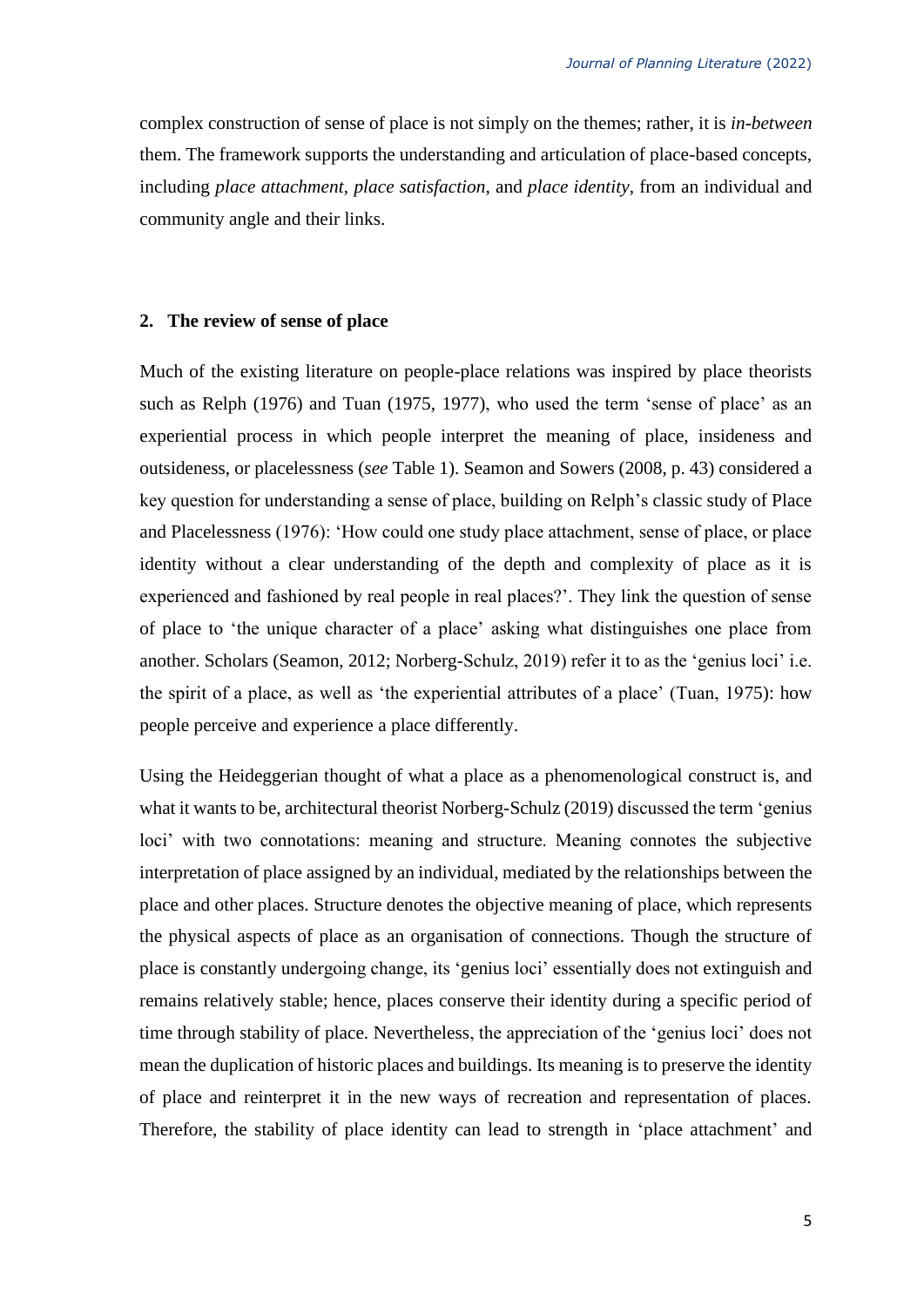complex construction of sense of place is not simply on the themes; rather, it is *in-between* them. The framework supports the understanding and articulation of place-based concepts, including *place attachment*, *place satisfaction*, and *place identity*, from an individual and community angle and their links.

#### **2. The review of sense of place**

Much of the existing literature on people-place relations was inspired by place theorists such as Relph (1976) and Tuan (1975, 1977), who used the term 'sense of place' as an experiential process in which people interpret the meaning of place, insideness and outsideness, or placelessness (*see* Table 1). Seamon and Sowers (2008, p. 43) considered a key question for understanding a sense of place, building on Relph's classic study of Place and Placelessness (1976): 'How could one study place attachment, sense of place, or place identity without a clear understanding of the depth and complexity of place as it is experienced and fashioned by real people in real places?'. They link the question of sense of place to 'the unique character of a place' asking what distinguishes one place from another. Scholars (Seamon, 2012; Norberg-Schulz, 2019) refer it to as the 'genius loci' i.e. the spirit of a place, as well as 'the experiential attributes of a place' (Tuan, 1975): how people perceive and experience a place differently.

Using the Heideggerian thought of what a place as a phenomenological construct is, and what it wants to be, architectural theorist Norberg-Schulz (2019) discussed the term 'genius loci' with two connotations: meaning and structure. Meaning connotes the subjective interpretation of place assigned by an individual, mediated by the relationships between the place and other places. Structure denotes the objective meaning of place, which represents the physical aspects of place as an organisation of connections. Though the structure of place is constantly undergoing change, its 'genius loci' essentially does not extinguish and remains relatively stable; hence, places conserve their identity during a specific period of time through stability of place. Nevertheless, the appreciation of the 'genius loci' does not mean the duplication of historic places and buildings. Its meaning is to preserve the identity of place and reinterpret it in the new ways of recreation and representation of places. Therefore, the stability of place identity can lead to strength in 'place attachment' and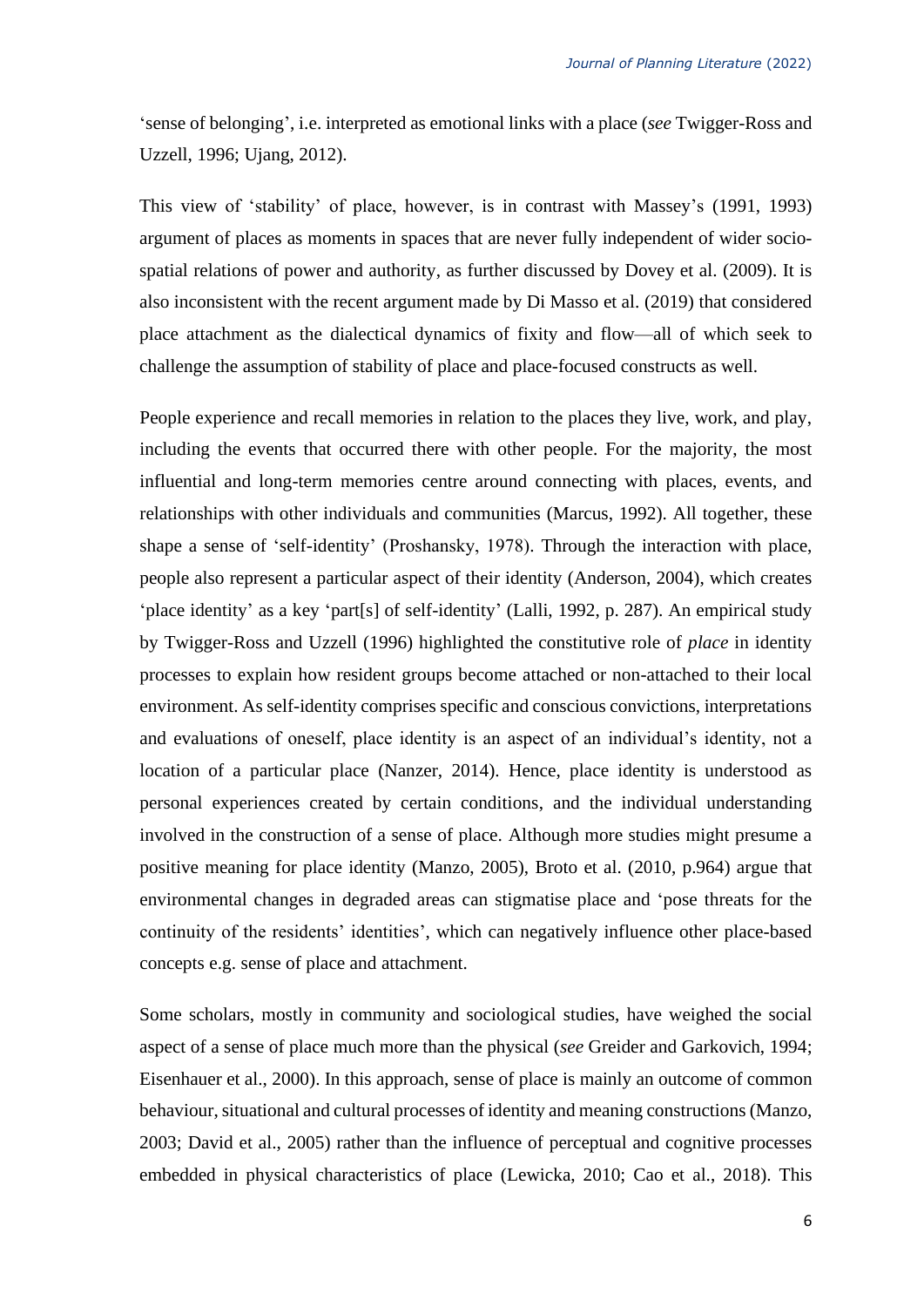'sense of belonging', i.e. interpreted as emotional links with a place (*see* Twigger-Ross and Uzzell, 1996; Ujang, 2012).

This view of 'stability' of place, however, is in contrast with Massey's (1991, 1993) argument of places as moments in spaces that are never fully independent of wider sociospatial relations of power and authority, as further discussed by Dovey et al. (2009). It is also inconsistent with the recent argument made by Di Masso et al. (2019) that considered place attachment as the dialectical dynamics of fixity and flow—all of which seek to challenge the assumption of stability of place and place-focused constructs as well.

People experience and recall memories in relation to the places they live, work, and play, including the events that occurred there with other people. For the majority, the most influential and long-term memories centre around connecting with places, events, and relationships with other individuals and communities (Marcus, 1992). All together, these shape a sense of 'self-identity' (Proshansky, 1978). Through the interaction with place, people also represent a particular aspect of their identity (Anderson, 2004), which creates 'place identity' as a key 'part[s] of self-identity' (Lalli, 1992, p. 287). An empirical study by Twigger-Ross and Uzzell (1996) highlighted the constitutive role of *place* in identity processes to explain how resident groups become attached or non-attached to their local environment. As self-identity comprises specific and conscious convictions, interpretations and evaluations of oneself, place identity is an aspect of an individual's identity, not a location of a particular place (Nanzer, 2014). Hence, place identity is understood as personal experiences created by certain conditions, and the individual understanding involved in the construction of a sense of place. Although more studies might presume a positive meaning for place identity (Manzo, 2005), Broto et al. (2010, p.964) argue that environmental changes in degraded areas can stigmatise place and 'pose threats for the continuity of the residents' identities', which can negatively influence other place-based concepts e.g. sense of place and attachment.

Some scholars, mostly in community and sociological studies, have weighed the social aspect of a sense of place much more than the physical (*see* Greider and Garkovich, 1994; Eisenhauer et al., 2000). In this approach, sense of place is mainly an outcome of common behaviour, situational and cultural processes of identity and meaning constructions (Manzo, 2003; David et al., 2005) rather than the influence of perceptual and cognitive processes embedded in physical characteristics of place (Lewicka, 2010; Cao et al., 2018). This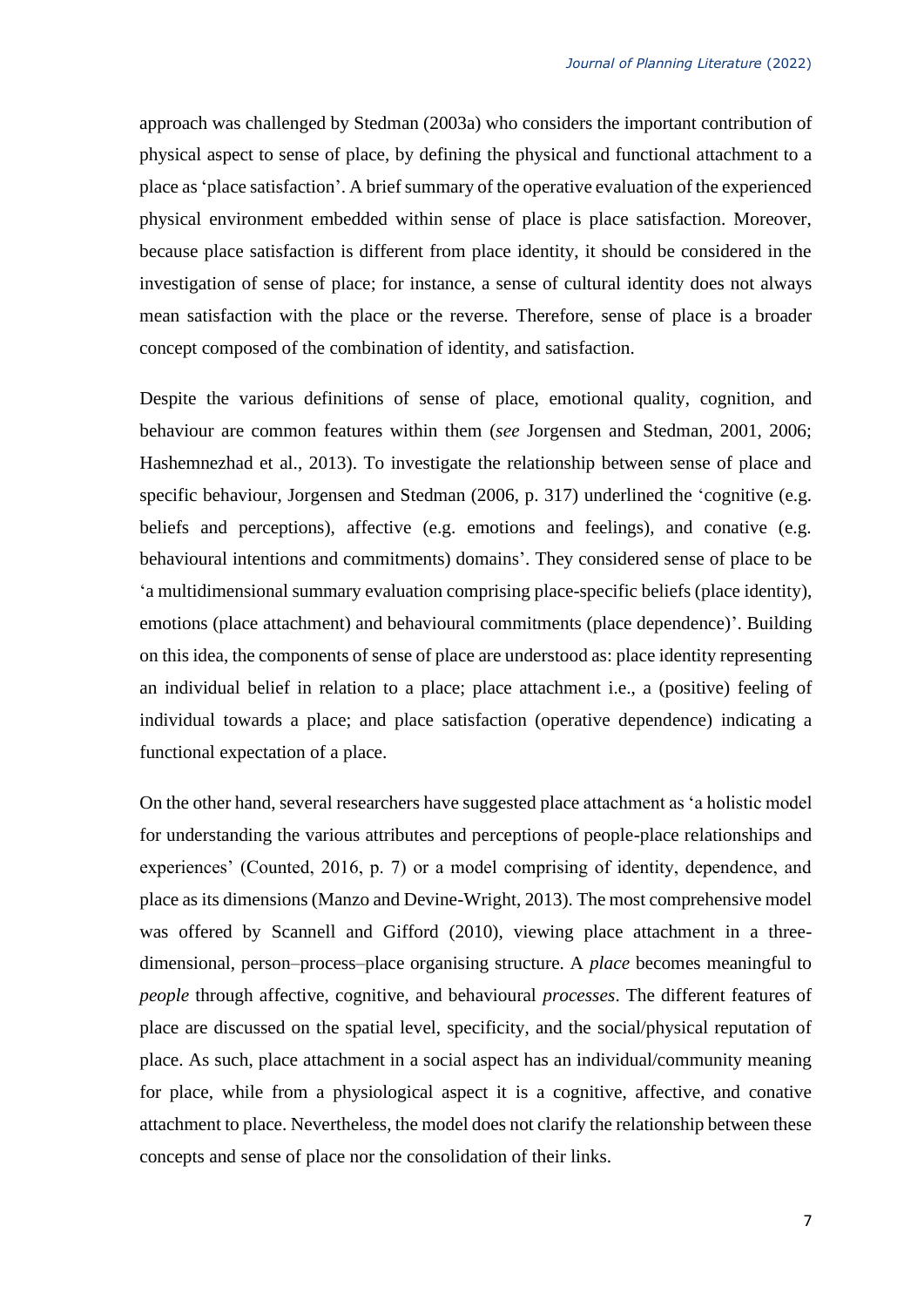approach was challenged by Stedman (2003a) who considers the important contribution of physical aspect to sense of place, by defining the physical and functional attachment to a place as 'place satisfaction'. A brief summary of the operative evaluation of the experienced physical environment embedded within sense of place is place satisfaction. Moreover, because place satisfaction is different from place identity, it should be considered in the investigation of sense of place; for instance, a sense of cultural identity does not always mean satisfaction with the place or the reverse. Therefore, sense of place is a broader concept composed of the combination of identity, and satisfaction.

Despite the various definitions of sense of place, emotional quality, cognition, and behaviour are common features within them (*see* Jorgensen and Stedman, 2001, 2006; Hashemnezhad et al., 2013). To investigate the relationship between sense of place and specific behaviour, Jorgensen and Stedman (2006, p. 317) underlined the 'cognitive (e.g. beliefs and perceptions), affective (e.g. emotions and feelings), and conative (e.g. behavioural intentions and commitments) domains'. They considered sense of place to be 'a multidimensional summary evaluation comprising place-specific beliefs (place identity), emotions (place attachment) and behavioural commitments (place dependence)'. Building on this idea, the components of sense of place are understood as: place identity representing an individual belief in relation to a place; place attachment i.e., a (positive) feeling of individual towards a place; and place satisfaction (operative dependence) indicating a functional expectation of a place.

On the other hand, several researchers have suggested place attachment as 'a holistic model for understanding the various attributes and perceptions of people-place relationships and experiences' (Counted, 2016, p. 7) or a model comprising of identity, dependence, and place as its dimensions [\(Manzo and Devine-Wright, 2013\)](#page-27-0). The most comprehensive model was offered by Scannell and Gifford (2010), viewing place attachment in a threedimensional, person–process–place organising structure. A *place* becomes meaningful to *people* through affective, cognitive, and behavioural *processes*. The different features of place are discussed on the spatial level, specificity, and the social/physical reputation of place. As such, place attachment in a social aspect has an individual/community meaning for place, while from a physiological aspect it is a cognitive, affective, and conative attachment to place. Nevertheless, the model does not clarify the relationship between these concepts and sense of place nor the consolidation of their links.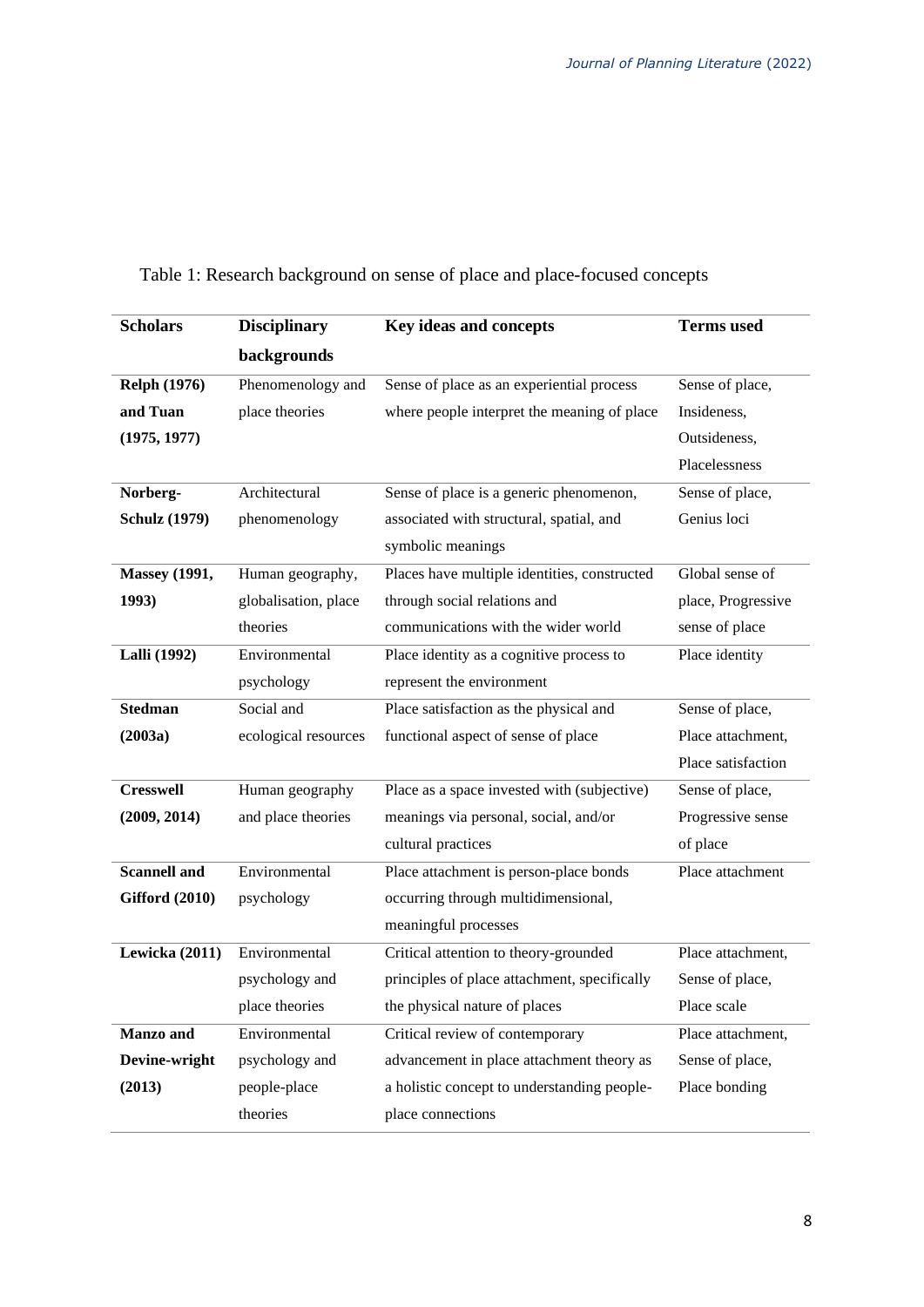| <b>Scholars</b>       | <b>Disciplinary</b>  | Key ideas and concepts                       | <b>Terms</b> used  |
|-----------------------|----------------------|----------------------------------------------|--------------------|
|                       | backgrounds          |                                              |                    |
| <b>Relph (1976)</b>   | Phenomenology and    | Sense of place as an experiential process    | Sense of place,    |
| and Tuan              | place theories       | where people interpret the meaning of place  | Insideness,        |
| (1975, 1977)          |                      |                                              | Outsideness,       |
|                       |                      |                                              | Placelessness      |
| Norberg-              | Architectural        | Sense of place is a generic phenomenon,      | Sense of place,    |
| <b>Schulz</b> (1979)  | phenomenology        | associated with structural, spatial, and     | Genius loci        |
|                       |                      | symbolic meanings                            |                    |
| <b>Massey</b> (1991,  | Human geography,     | Places have multiple identities, constructed | Global sense of    |
| 1993)                 | globalisation, place | through social relations and                 | place, Progressive |
|                       | theories             | communications with the wider world          | sense of place     |
| <b>Lalli</b> (1992)   | Environmental        | Place identity as a cognitive process to     | Place identity     |
|                       | psychology           | represent the environment                    |                    |
| <b>Stedman</b>        | Social and           | Place satisfaction as the physical and       | Sense of place,    |
| (2003a)               | ecological resources | functional aspect of sense of place          | Place attachment,  |
|                       |                      |                                              | Place satisfaction |
| <b>Cresswell</b>      | Human geography      | Place as a space invested with (subjective)  | Sense of place,    |
| (2009, 2014)          | and place theories   | meanings via personal, social, and/or        | Progressive sense  |
|                       |                      | cultural practices                           | of place           |
| <b>Scannell and</b>   | Environmental        | Place attachment is person-place bonds       | Place attachment   |
| <b>Gifford (2010)</b> | psychology           | occurring through multidimensional,          |                    |
|                       |                      | meaningful processes                         |                    |
| Lewicka (2011)        | Environmental        | Critical attention to theory-grounded        | Place attachment,  |
|                       | psychology and       | principles of place attachment, specifically | Sense of place,    |
|                       | place theories       | the physical nature of places                | Place scale        |
| <b>Manzo</b> and      | Environmental        | Critical review of contemporary              | Place attachment,  |
| Devine-wright         | psychology and       | advancement in place attachment theory as    | Sense of place,    |
| (2013)                | people-place         | a holistic concept to understanding people-  | Place bonding      |
|                       | theories             | place connections                            |                    |

Table 1: Research background on sense of place and place-focused concepts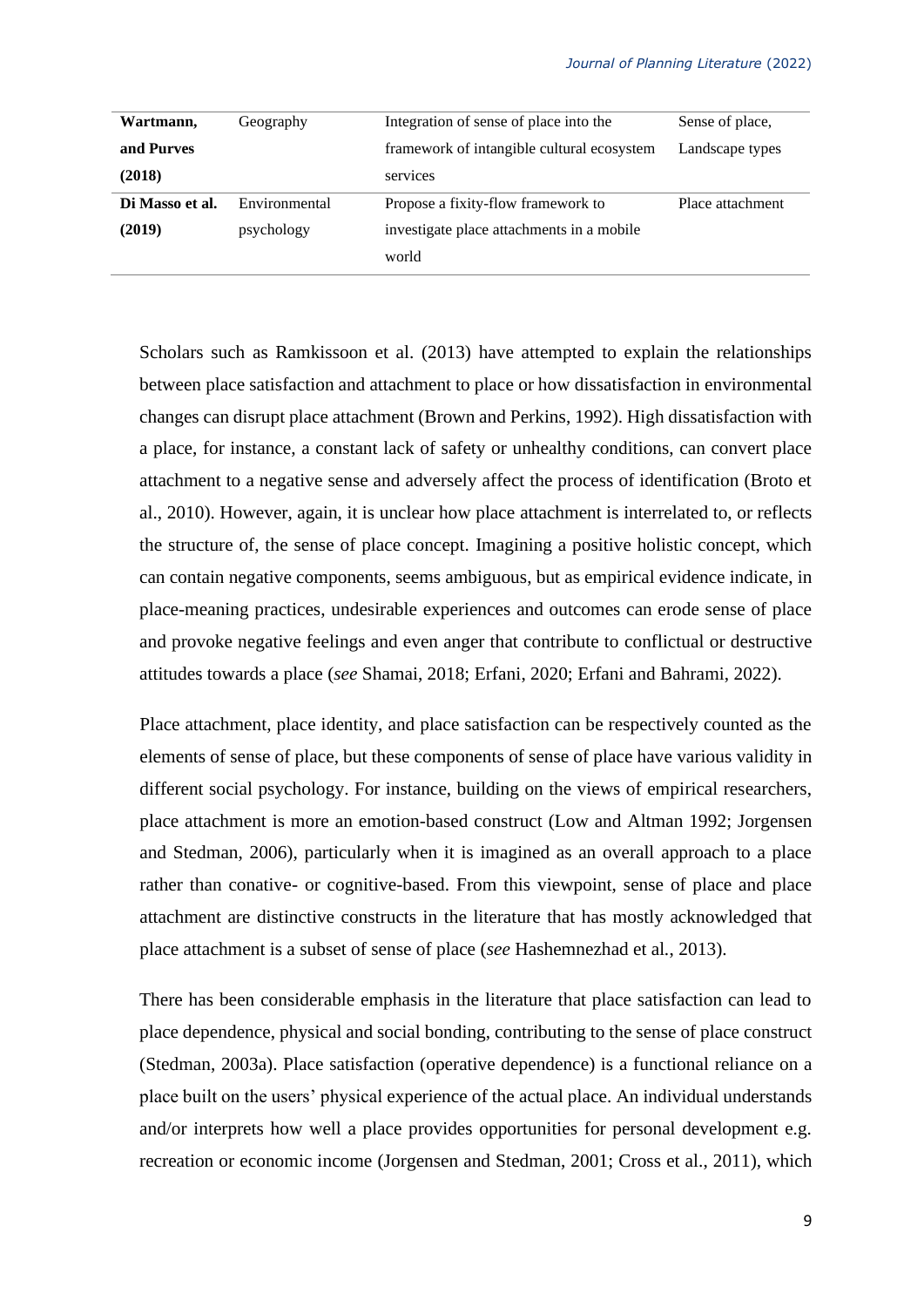| Wartmann,       | Geography     | Integration of sense of place into the     | Sense of place,  |
|-----------------|---------------|--------------------------------------------|------------------|
| and Purves      |               | framework of intangible cultural ecosystem | Landscape types  |
| (2018)          |               | services                                   |                  |
| Di Masso et al. | Environmental | Propose a fixity-flow framework to         | Place attachment |
| (2019)          | psychology    | investigate place attachments in a mobile  |                  |
|                 |               | world                                      |                  |

Scholars such as Ramkissoon et al. (2013) have attempted to explain the relationships between place satisfaction and attachment to place or how dissatisfaction in environmental changes can disrupt place attachment (Brown and Perkins, 1992). High dissatisfaction with a place, for instance, a constant lack of safety or unhealthy conditions, can convert place attachment to a negative sense and adversely affect the process of identification (Broto et al., 2010). However, again, it is unclear how place attachment is interrelated to, or reflects the structure of, the sense of place concept. Imagining a positive holistic concept, which can contain negative components, seems ambiguous, but as empirical evidence indicate, in place-meaning practices, undesirable experiences and outcomes can erode sense of place and provoke negative feelings and even anger that contribute to conflictual or destructive attitudes towards a place (*see* Shamai, 2018; Erfani, 2020; Erfani and Bahrami, 2022).

Place attachment, place identity, and place satisfaction can be respectively counted as the elements of sense of place, but these components of sense of place have various validity in different social psychology. For instance, building on the views of empirical researchers, place attachment is more an emotion-based construct (Low and Altman 1992; Jorgensen and Stedman, 2006), particularly when it is imagined as an overall approach to a place rather than conative- or cognitive-based. From this viewpoint, sense of place and place attachment are distinctive constructs in the literature that has mostly acknowledged that place attachment is a subset of sense of place (*see* [Hashemnezhad](#page-26-0) et al*.*, 2013).

There has been considerable emphasis in the literature that place satisfaction can lead to place dependence, physical and social bonding, contributing to the sense of place construct (Stedman, 2003a). Place satisfaction (operative dependence) is a functional reliance on a place built on the users' physical experience of the actual place. An individual understands and/or interprets how well a place provides opportunities for personal development e.g. recreation or economic income (Jorgensen and Stedman, 2001; Cross et al., 2011), which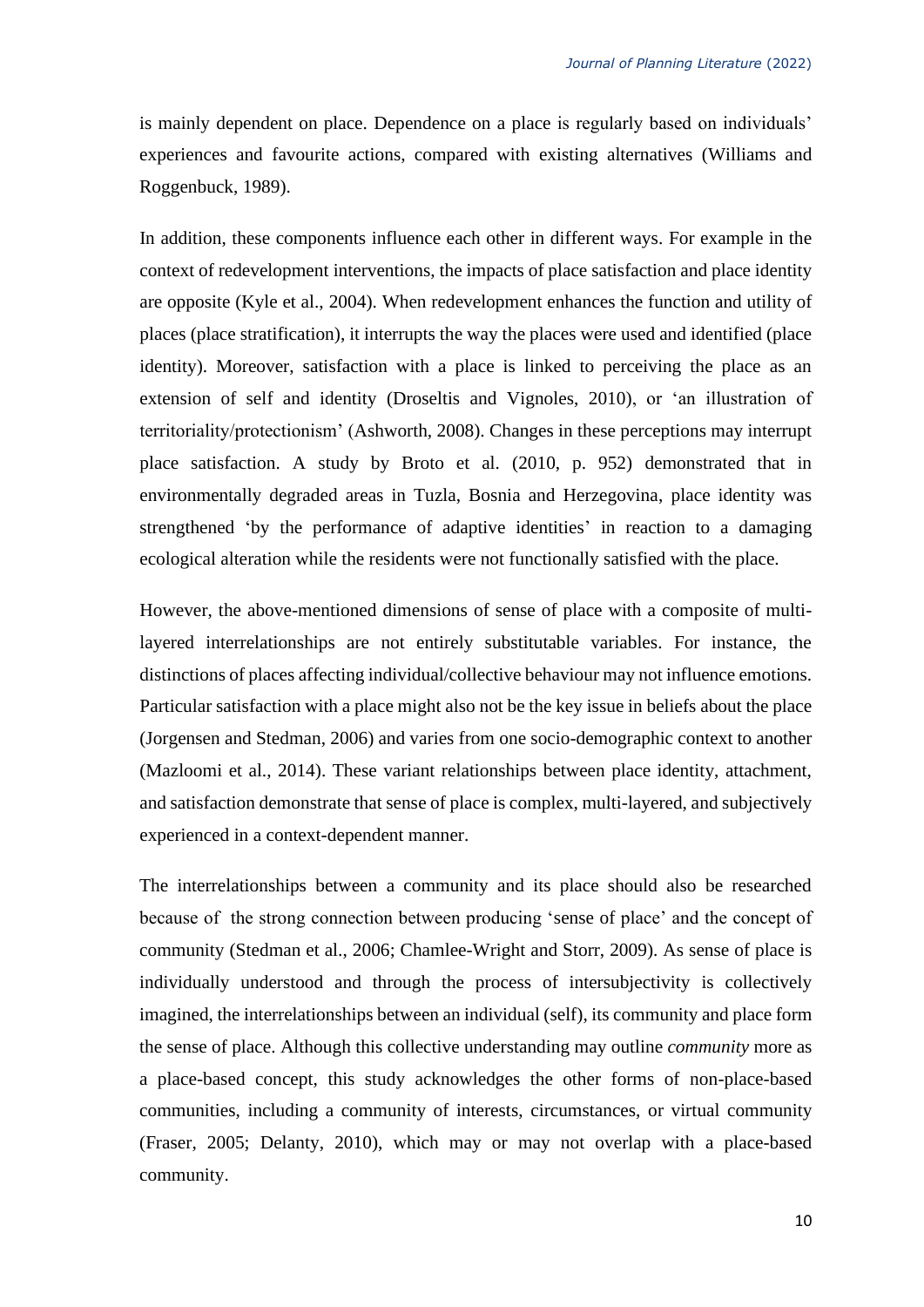is mainly dependent on place. Dependence on a place is regularly based on individuals' experiences and favourite actions, compared with existing alternatives (Williams and Roggenbuck, 1989).

In addition, these components influence each other in different ways. For example in the context of redevelopment interventions, the impacts of place satisfaction and place identity are opposite (Kyle et al., 2004). When redevelopment enhances the function and utility of places (place stratification), it interrupts the way the places were used and identified (place identity). Moreover, satisfaction with a place is linked to perceiving the place as an extension of self and identity (Droseltis and Vignoles, 2010), or 'an illustration of territoriality/protectionism' (Ashworth, 2008). Changes in these perceptions may interrupt place satisfaction. A study by Broto et al. (2010, p. 952) demonstrated that in environmentally degraded areas in Tuzla, Bosnia and Herzegovina, place identity was strengthened 'by the performance of adaptive identities' in reaction to a damaging ecological alteration while the residents were not functionally satisfied with the place.

However, the above-mentioned dimensions of sense of place with a composite of multilayered interrelationships are not entirely substitutable variables. For instance, the distinctions of places affecting individual/collective behaviour may not influence emotions. Particular satisfaction with a place might also not be the key issue in beliefs about the place (Jorgensen and Stedman, 2006) and varies from one socio-demographic context to another (Mazloomi et al., 2014). These variant relationships between place identity, attachment, and satisfaction demonstrate that sense of place is complex, multi-layered, and subjectively experienced in a context-dependent manner.

The interrelationships between a community and its place should also be researched because of the strong connection between producing 'sense of place' and the concept of community (Stedman et al., 2006; Chamlee-Wright and Storr, 2009). As sense of place is individually understood and through the process of intersubjectivity is collectively imagined, the interrelationships between an individual (self), its community and place form the sense of place. Although this collective understanding may outline *community* more as a place-based concept, this study acknowledges the other forms of non-place-based communities, including a community of interests, circumstances, or virtual community (Fraser, 2005; Delanty, 2010), which may or may not overlap with a place-based community.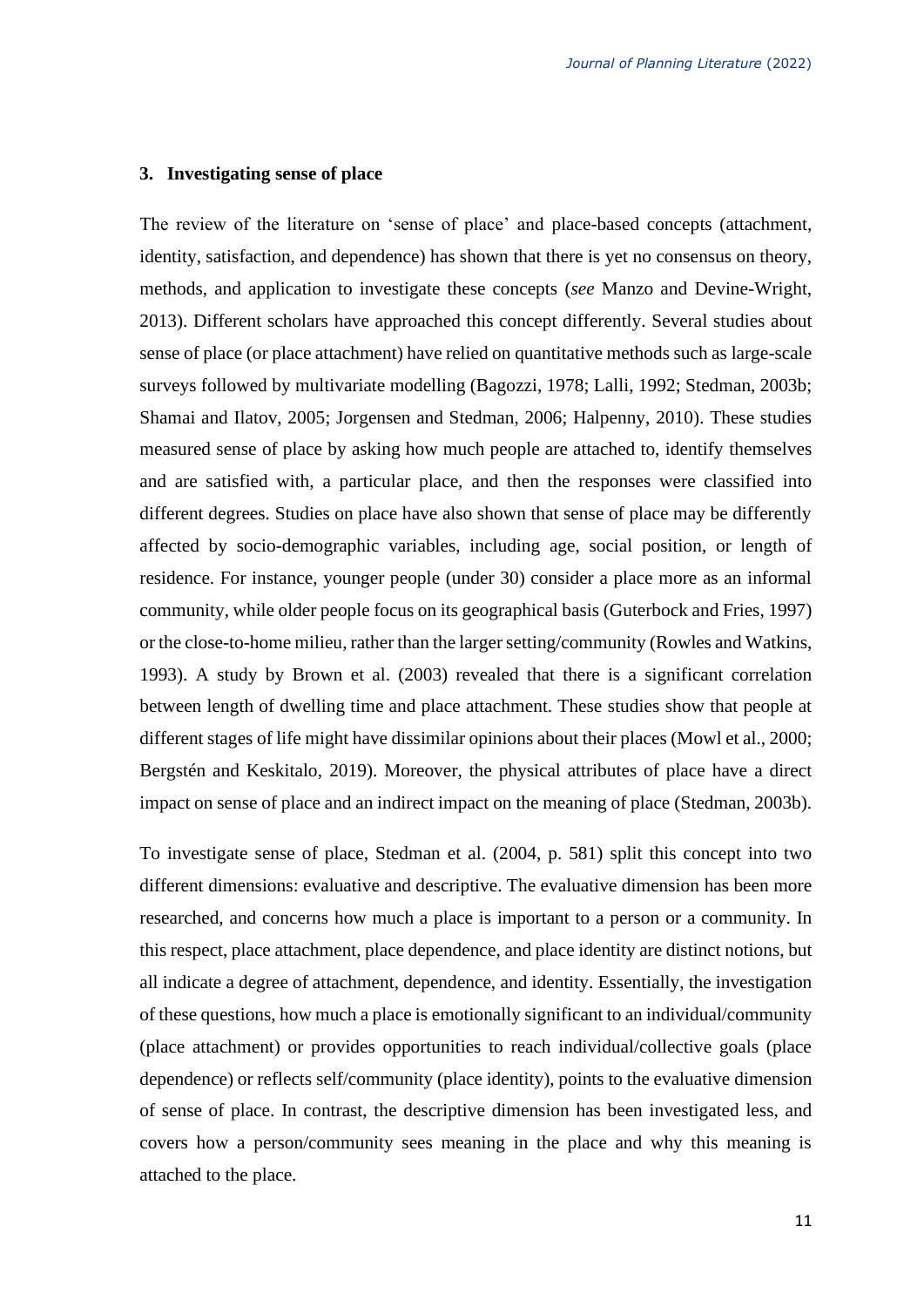### **3. Investigating sense of place**

The review of the literature on 'sense of place' and place-based concepts (attachment, identity, satisfaction, and dependence) has shown that there is yet no consensus on theory, methods, and application to investigate these concepts (*see* [Manzo and Devine-Wright,](#page-27-0)  2013). Different scholars have approached this concept differently. Several studies about sense of place (or place attachment) have relied on quantitative methods such as large-scale surveys followed by multivariate modelling (Bagozzi, 1978; Lalli, 1992; Stedman, 2003b; Shamai and Ilatov, 2005; Jorgensen and Stedman, 2006; Halpenny, 2010). These studies measured sense of place by asking how much people are attached to, identify themselves and are satisfied with, a particular place, and then the responses were classified into different degrees. Studies on place have also shown that sense of place may be differently affected by socio-demographic variables, including age, social position, or length of residence. For instance, younger people (under 30) consider a place more as an informal community, while older people focus on its geographical basis (Guterbock and Fries, 1997) or the close-to-home milieu, rather than the larger setting/community (Rowles and Watkins, 1993). A study by Brown et al. (2003) revealed that there is a significant correlation between length of dwelling time and place attachment. These studies show that people at different stages of life might have dissimilar opinions about their places (Mowl et al., 2000; Bergstén and Keskitalo, 2019). Moreover, the physical attributes of place have a direct impact on sense of place and an indirect impact on the meaning of place (Stedman, 2003b).

To investigate sense of place, Stedman et al. (2004, p. 581) split this concept into two different dimensions: evaluative and descriptive. The evaluative dimension has been more researched, and concerns how much a place is important to a person or a community. In this respect, place attachment, place dependence, and place identity are distinct notions, but all indicate a degree of attachment, dependence, and identity. Essentially, the investigation of these questions, how much a place is emotionally significant to an individual/community (place attachment) or provides opportunities to reach individual/collective goals (place dependence) or reflects self/community (place identity), points to the evaluative dimension of sense of place. In contrast, the descriptive dimension has been investigated less, and covers how a person/community sees meaning in the place and why this meaning is attached to the place.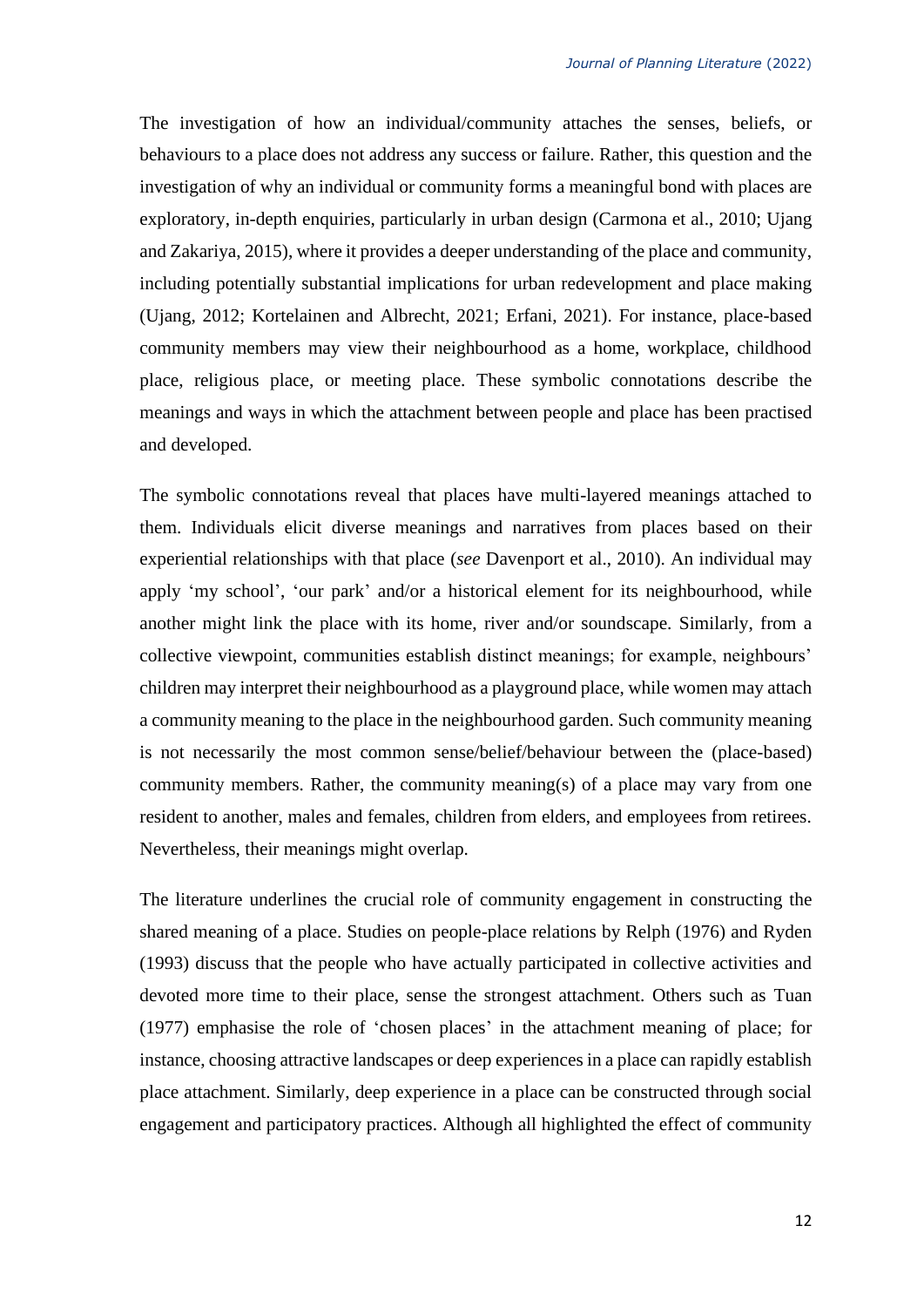The investigation of how an individual/community attaches the senses, beliefs, or behaviours to a place does not address any success or failure. Rather, this question and the investigation of why an individual or community forms a meaningful bond with places are exploratory, in-depth enquiries, particularly in urban design (Carmona et al., 2010; Ujang and Zakariya, 2015), where it provides a deeper understanding of the place and community, including potentially substantial implications for urban redevelopment and place making (Ujang, 2012; Kortelainen and Albrecht, 2021; Erfani, 2021). For instance, place-based community members may view their neighbourhood as a home, workplace, childhood place, religious place, or meeting place. These symbolic connotations describe the meanings and ways in which the attachment between people and place has been practised and developed.

The symbolic connotations reveal that places have multi-layered meanings attached to them. Individuals elicit diverse meanings and narratives from places based on their experiential relationships with that place (*see* Davenport et al., 2010). An individual may apply 'my school', 'our park' and/or a historical element for its neighbourhood, while another might link the place with its home, river and/or soundscape. Similarly, from a collective viewpoint, communities establish distinct meanings; for example, neighbours' children may interpret their neighbourhood as a playground place, while women may attach a community meaning to the place in the neighbourhood garden. Such community meaning is not necessarily the most common sense/belief/behaviour between the (place-based) community members. Rather, the community meaning(s) of a place may vary from one resident to another, males and females, children from elders, and employees from retirees. Nevertheless, their meanings might overlap.

The literature underlines the crucial role of community engagement in constructing the shared meaning of a place. Studies on people-place relations by Relph (1976) and Ryden (1993) discuss that the people who have actually participated in collective activities and devoted more time to their place, sense the strongest attachment. Others such as Tuan (1977) emphasise the role of 'chosen places' in the attachment meaning of place; for instance, choosing attractive landscapes or deep experiences in a place can rapidly establish place attachment. Similarly, deep experience in a place can be constructed through social engagement and participatory practices. Although all highlighted the effect of community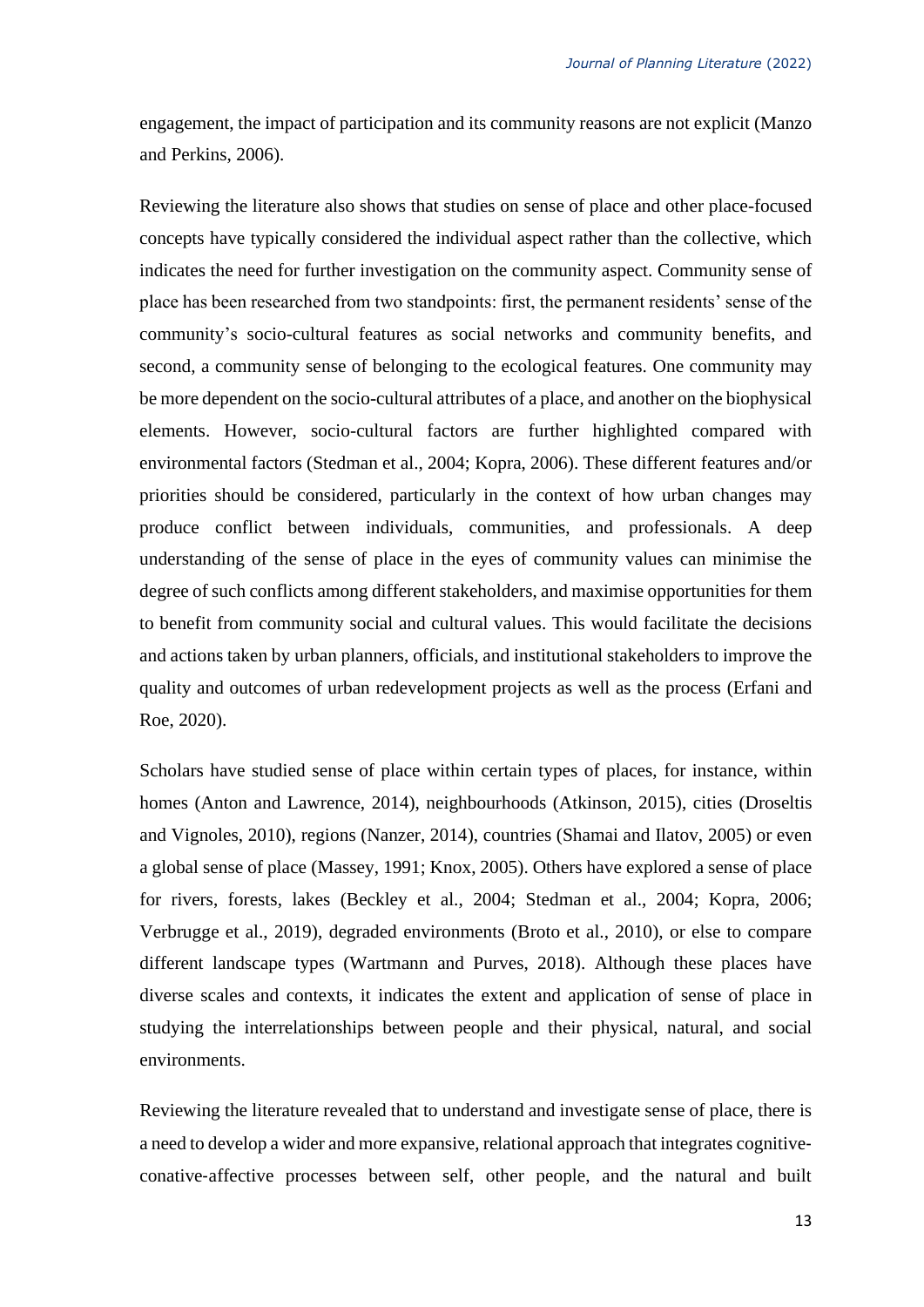engagement, the impact of participation and its community reasons are not explicit (Manzo and Perkins, 2006).

Reviewing the literature also shows that studies on sense of place and other place-focused concepts have typically considered the individual aspect rather than the collective, which indicates the need for further investigation on the community aspect. Community sense of place has been researched from two standpoints: first, the permanent residents' sense of the community's socio-cultural features as social networks and community benefits, and second, a community sense of belonging to the ecological features. One community may be more dependent on the socio-cultural attributes of a place, and another on the biophysical elements. However, socio-cultural factors are further highlighted compared with environmental factors (Stedman et al., 2004; Kopra, 2006). These different features and/or priorities should be considered, particularly in the context of how urban changes may produce conflict between individuals, communities, and professionals. A deep understanding of the sense of place in the eyes of community values can minimise the degree of such conflicts among different stakeholders, and maximise opportunities for them to benefit from community social and cultural values. This would facilitate the decisions and actions taken by urban planners, officials, and institutional stakeholders to improve the quality and outcomes of urban redevelopment projects as well as the process (Erfani and Roe, 2020).

Scholars have studied sense of place within certain types of places, for instance, within homes (Anton and Lawrence, 2014), neighbourhoods (Atkinson, 2015), cities (Droseltis and Vignoles, 2010), regions (Nanzer, 2014), countries (Shamai and Ilatov, 2005) or even a global sense of place (Massey, 1991; [Knox, 2005\)](#page-28-0). Others have explored a sense of place for rivers, forests, lakes (Beckley et al., 2004; Stedman et al., 2004; Kopra, 2006; Verbrugge et al., 2019), degraded environments (Broto et al., 2010), or else to compare different landscape types (Wartmann and Purves, 2018). Although these places have diverse scales and contexts, it indicates the extent and application of sense of place in studying the interrelationships between people and their physical, natural, and social environments.

Reviewing the literature revealed that to understand and investigate sense of place, there is a need to develop a wider and more expansive, relational approach that integrates cognitive‐ conative‐affective processes between self, other people, and the natural and built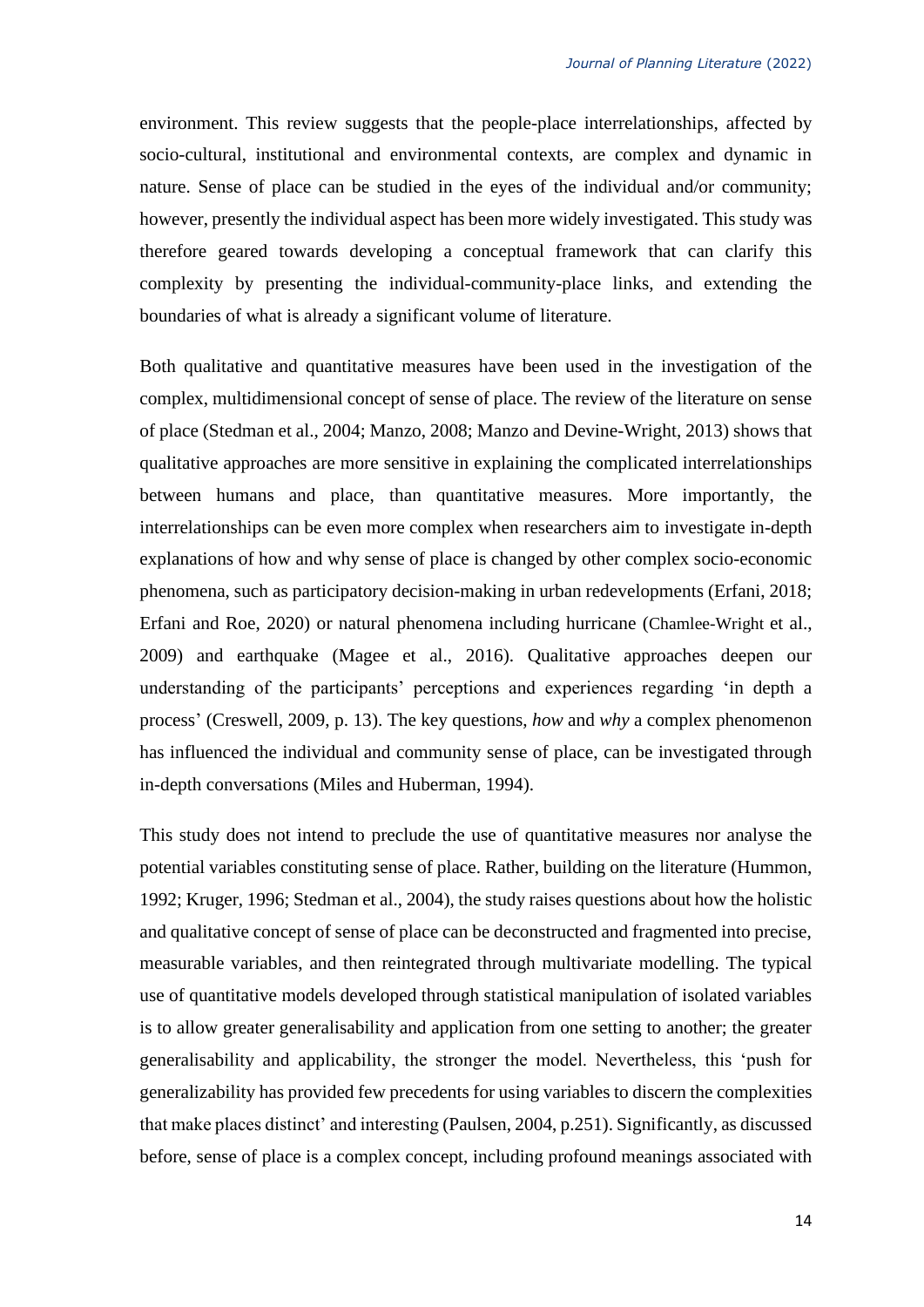environment. This review suggests that the people-place interrelationships, affected by socio-cultural, institutional and environmental contexts, are complex and dynamic in nature. Sense of place can be studied in the eyes of the individual and/or community; however, presently the individual aspect has been more widely investigated. This study was therefore geared towards developing a conceptual framework that can clarify this complexity by presenting the individual-community-place links, and extending the boundaries of what is already a significant volume of literature.

Both qualitative and quantitative measures have been used in the investigation of the complex, multidimensional concept of sense of place. The review of the literature on sense of place (Stedman et al., 2004; Manzo, 2008; [Manzo and Devine-Wright, 2013\)](#page-27-0) shows that qualitative approaches are more sensitive in explaining the complicated interrelationships between humans and place, than quantitative measures. More importantly, the interrelationships can be even more complex when researchers aim to investigate in-depth explanations of how and why sense of place is changed by other complex socio-economic phenomena, such as participatory decision-making in urban redevelopments (Erfani, 2018; Erfani and Roe, 2020) or natural phenomena including hurricane (Chamlee-Wright et al., 2009) and earthquake (Magee et al., 2016). Qualitative approaches deepen our understanding of the participants' perceptions and experiences regarding 'in depth a process' (Creswell, 2009, p. 13). The key questions, *how* and *why* a complex phenomenon has influenced the individual and community sense of place, can be investigated through in-depth conversations (Miles and Huberman, 1994).

This study does not intend to preclude the use of quantitative measures nor analyse the potential variables constituting sense of place. Rather, building on the literature (Hummon, 1992; Kruger, 1996; Stedman et al., 2004), the study raises questions about how the holistic and qualitative concept of sense of place can be deconstructed and fragmented into precise, measurable variables, and then reintegrated through multivariate modelling. The typical use of quantitative models developed through statistical manipulation of isolated variables is to allow greater generalisability and application from one setting to another; the greater generalisability and applicability, the stronger the model. Nevertheless, this 'push for generalizability has provided few precedents for using variables to discern the complexities that make places distinct' and interesting (Paulsen, 2004, p.251). Significantly, as discussed before, sense of place is a complex concept, including profound meanings associated with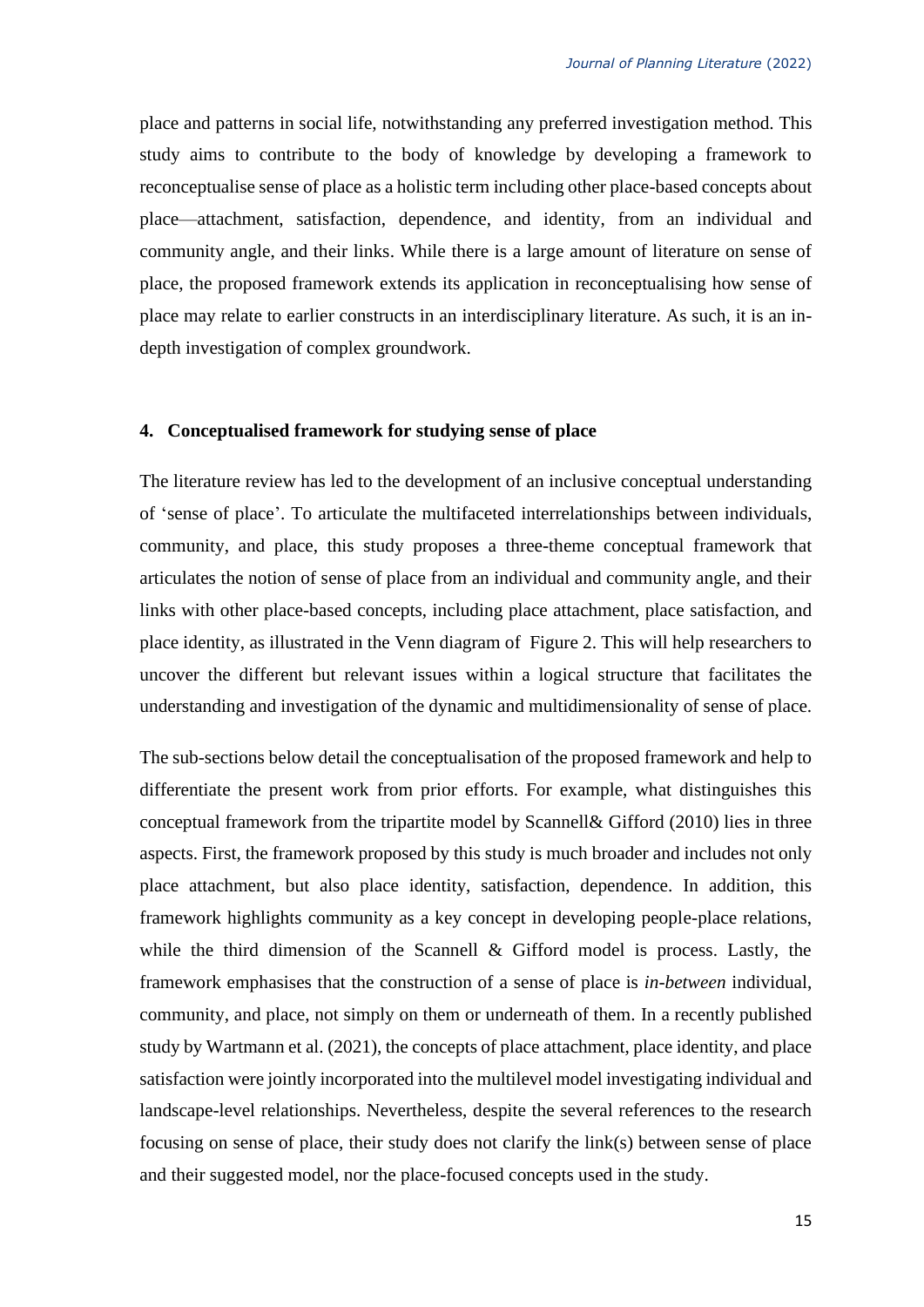place and patterns in social life, notwithstanding any preferred investigation method. This study aims to contribute to the body of knowledge by developing a framework to reconceptualise sense of place as a holistic term including other place-based concepts about place—attachment, satisfaction, dependence, and identity, from an individual and community angle, and their links. While there is a large amount of literature on sense of place, the proposed framework extends its application in reconceptualising how sense of place may relate to earlier constructs in an interdisciplinary literature. As such, it is an indepth investigation of complex groundwork.

### **4. Conceptualised framework for studying sense of place**

The literature review has led to the development of an inclusive conceptual understanding of 'sense of place'. To articulate the multifaceted interrelationships between individuals, community, and place, this study proposes a three-theme conceptual framework that articulates the notion of sense of place from an individual and community angle, and their links with other place-based concepts, including place attachment, place satisfaction, and place identity, as illustrated in the Venn diagram ofFigure 2. This will help researchers to uncover the different but relevant issues within a logical structure that facilitates the understanding and investigation of the dynamic and multidimensionality of sense of place.

The sub-sections below detail the conceptualisation of the proposed framework and help to differentiate the present work from prior efforts. For example, what distinguishes this conceptual framework from the tripartite model by Scannell& Gifford (2010) lies in three aspects. First, the framework proposed by this study is much broader and includes not only place attachment, but also place identity, satisfaction, dependence. In addition, this framework highlights community as a key concept in developing people-place relations, while the third dimension of the Scannell & Gifford model is process. Lastly, the framework emphasises that the construction of a sense of place is *in-between* individual, community, and place, not simply on them or underneath of them. In a recently published study by Wartmann et al. (2021), the concepts of place attachment, place identity, and place satisfaction were jointly incorporated into the multilevel model investigating individual and landscape-level relationships. Nevertheless, despite the several references to the research focusing on sense of place, their study does not clarify the link(s) between sense of place and their suggested model, nor the place-focused concepts used in the study.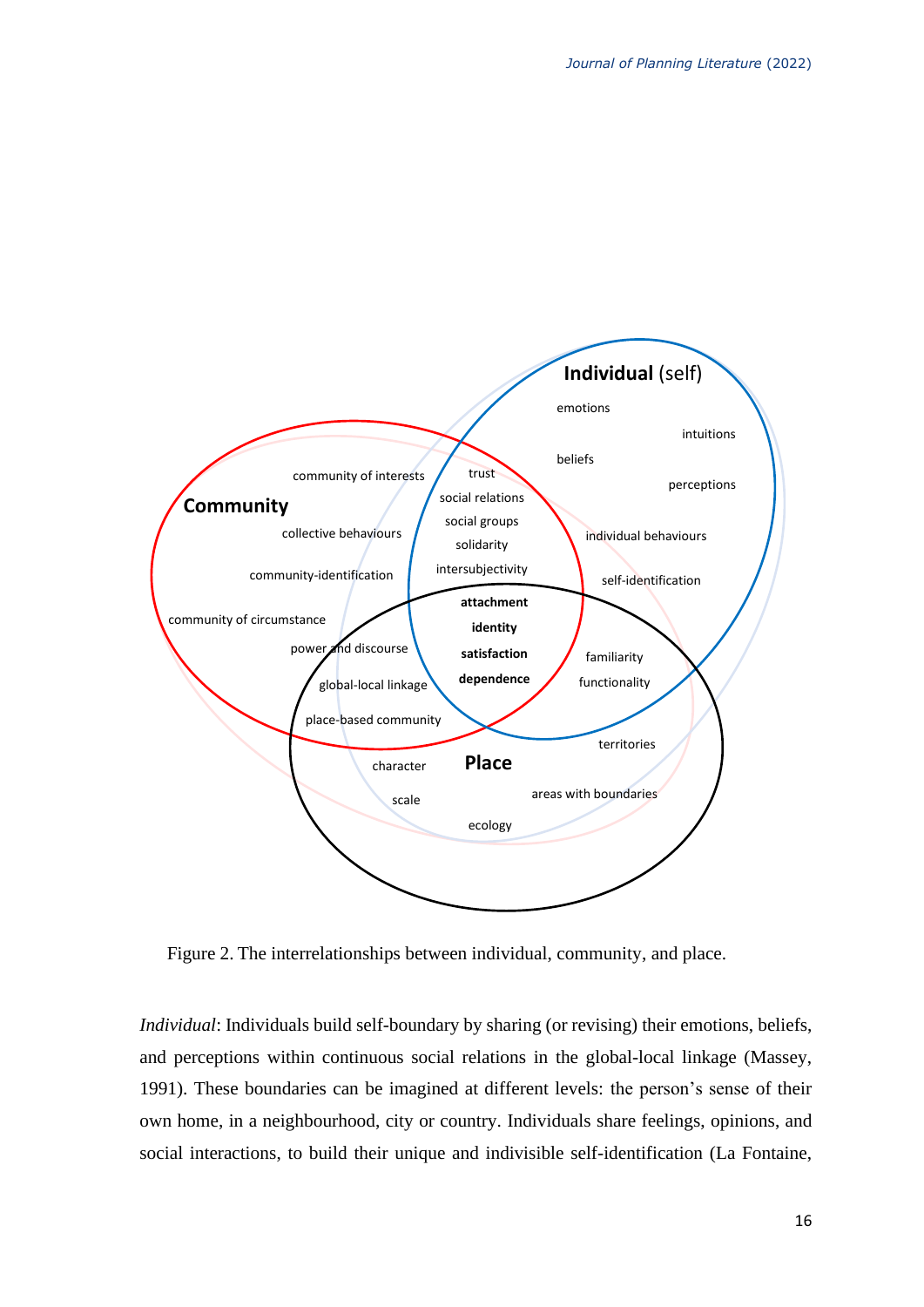

Figure 2. The interrelationships between individual, community, and place.

*Individual*: Individuals build self-boundary by sharing (or revising) their emotions, beliefs, and perceptions within continuous social relations in the global-local linkage (Massey, 1991). These boundaries can be imagined at different levels: the person's sense of their own home, in a neighbourhood, city or country. Individuals share feelings, opinions, and social interactions, to build their unique and indivisible self-identification (La Fontaine,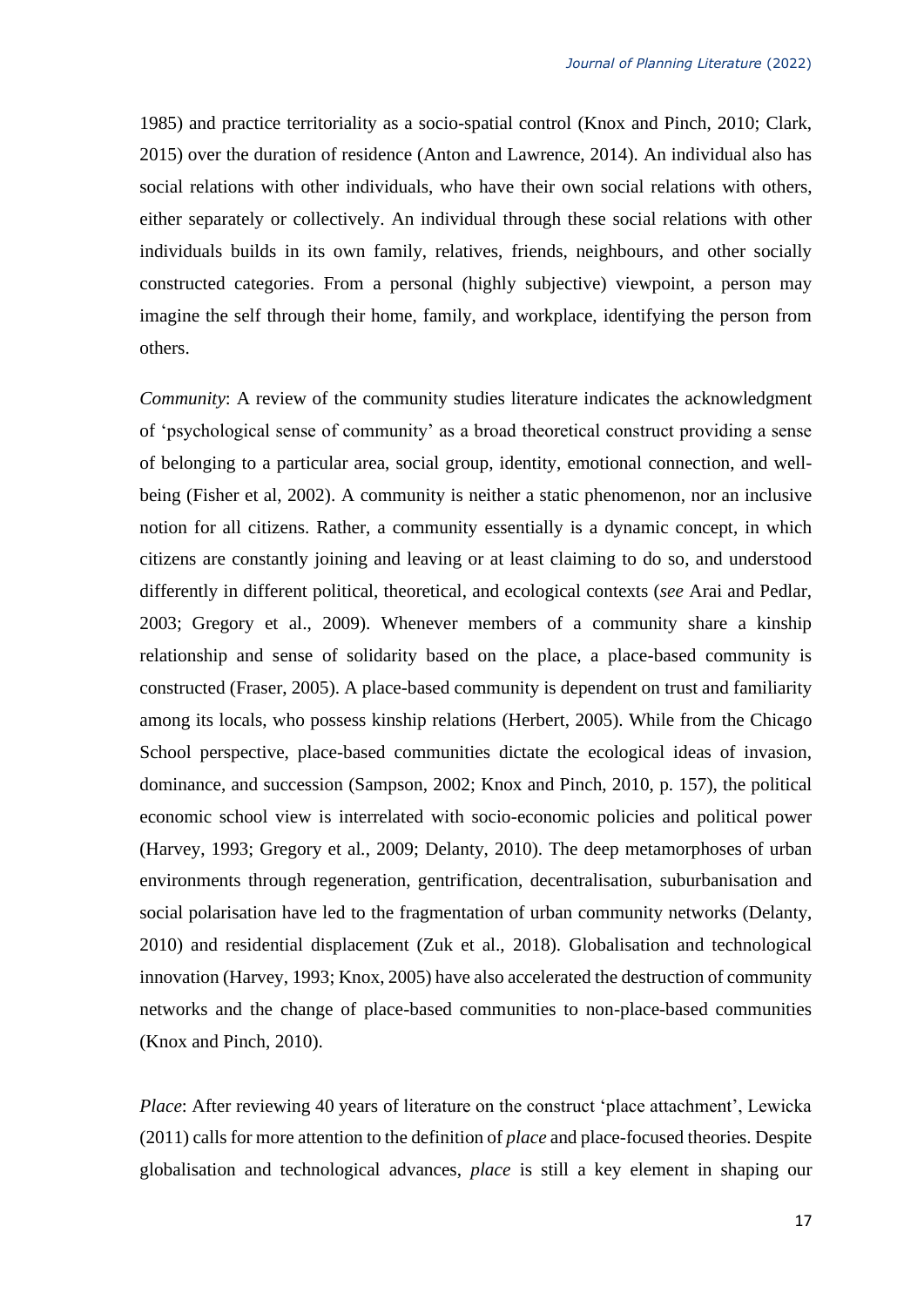1985) and practice territoriality as a socio-spatial control (Knox and Pinch, 2010; Clark, 2015) over the duration of residence (Anton and Lawrence, 2014). An individual also has social relations with other individuals, who have their own social relations with others, either separately or collectively. An individual through these social relations with other individuals builds in its own family, relatives, friends, neighbours, and other socially constructed categories. From a personal (highly subjective) viewpoint, a person may imagine the self through their home, family, and workplace, identifying the person from others.

*Community*: A review of the community studies literature indicates the acknowledgment of 'psychological sense of community' as a broad theoretical construct providing a sense of belonging to a particular area, social group, identity, emotional connection, and wellbeing (Fisher et al, 2002). A community is neither a static phenomenon, nor an inclusive notion for all citizens. Rather, a community essentially is a dynamic concept, in which citizens are constantly joining and leaving or at least claiming to do so, and understood differently in different political, theoretical, and ecological contexts (*see* Arai and Pedlar, 2003; Gregory et al., 2009). Whenever members of a community share a kinship relationship and sense of solidarity based on the place, a place-based community is constructed (Fraser, 2005). A place-based community is dependent on trust and familiarity among its locals, who possess kinship relations (Herbert, 2005). While from the Chicago School perspective, place-based communities dictate the ecological ideas of invasion, dominance, and succession (Sampson, 2002; Knox and Pinch, 2010, p. 157), the political economic school view is interrelated with socio-economic policies and political power (Harvey, 1993; Gregory et al*.*, 2009; Delanty, 2010). The deep metamorphoses of urban environments through regeneration, gentrification, decentralisation, suburbanisation and social polarisation have led to the fragmentation of urban community networks (Delanty, 2010) and residential displacement (Zuk et al., 2018). Globalisation and technological innovation (Harvey, 1993; [Knox, 2005\)](#page-28-0) have also accelerated the destruction of community networks and the change of place-based communities to non-place-based communities (Knox and Pinch, 2010).

*Place*: After reviewing 40 years of literature on the construct 'place attachment', Lewicka (2011) calls for more attention to the definition of *place* and place-focused theories. Despite globalisation and technological advances, *place* is still a key element in shaping our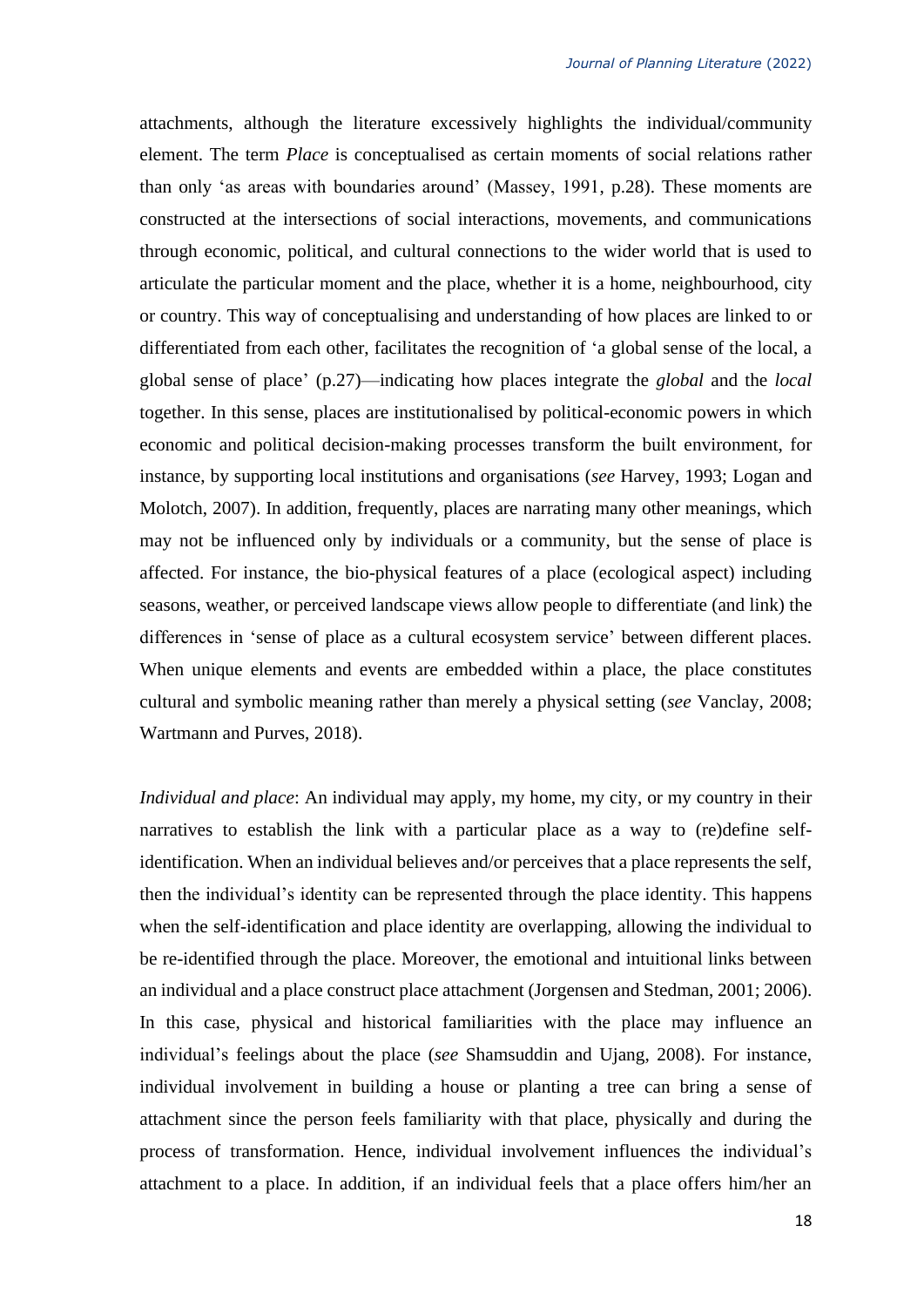attachments, although the literature excessively highlights the individual/community element. The term *Place* is conceptualised as certain moments of social relations rather than only 'as areas with boundaries around' (Massey, 1991, p.28). These moments are constructed at the intersections of social interactions, movements, and communications through economic, political, and cultural connections to the wider world that is used to articulate the particular moment and the place, whether it is a home, neighbourhood, city or country. This way of conceptualising and understanding of how places are linked to or differentiated from each other, facilitates the recognition of 'a global sense of the local, a global sense of place' (p.27)—indicating how places integrate the *global* and the *local* together. In this sense, places are institutionalised by political-economic powers in which economic and political decision-making processes transform the built environment, for instance, by supporting local institutions and organisations (*see* Harvey, 1993; Logan and Molotch, 2007). In addition, frequently, places are narrating many other meanings, which may not be influenced only by individuals or a community, but the sense of place is affected. For instance, the bio-physical features of a place (ecological aspect) including seasons, weather, or perceived landscape views allow people to differentiate (and link) the differences in 'sense of place as a cultural ecosystem service' between different places. When unique elements and events are embedded within a place, the place constitutes cultural and symbolic meaning rather than merely a physical setting (*see* Vanclay, 2008; Wartmann and Purves, 2018).

*Individual and place*: An individual may apply, my home, my city, or my country in their narratives to establish the link with a particular place as a way to (re)define selfidentification. When an individual believes and/or perceives that a place represents the self, then the individual's identity can be represented through the place identity. This happens when the self-identification and place identity are overlapping, allowing the individual to be re-identified through the place. Moreover, the emotional and intuitional links between an individual and a place construct place attachment (Jorgensen and Stedman, 2001; 2006). In this case, physical and historical familiarities with the place may influence an individual's feelings about the place (*see* Shamsuddin and Ujang, 2008). For instance, individual involvement in building a house or planting a tree can bring a sense of attachment since the person feels familiarity with that place, physically and during the process of transformation. Hence, individual involvement influences the individual's attachment to a place. In addition, if an individual feels that a place offers him/her an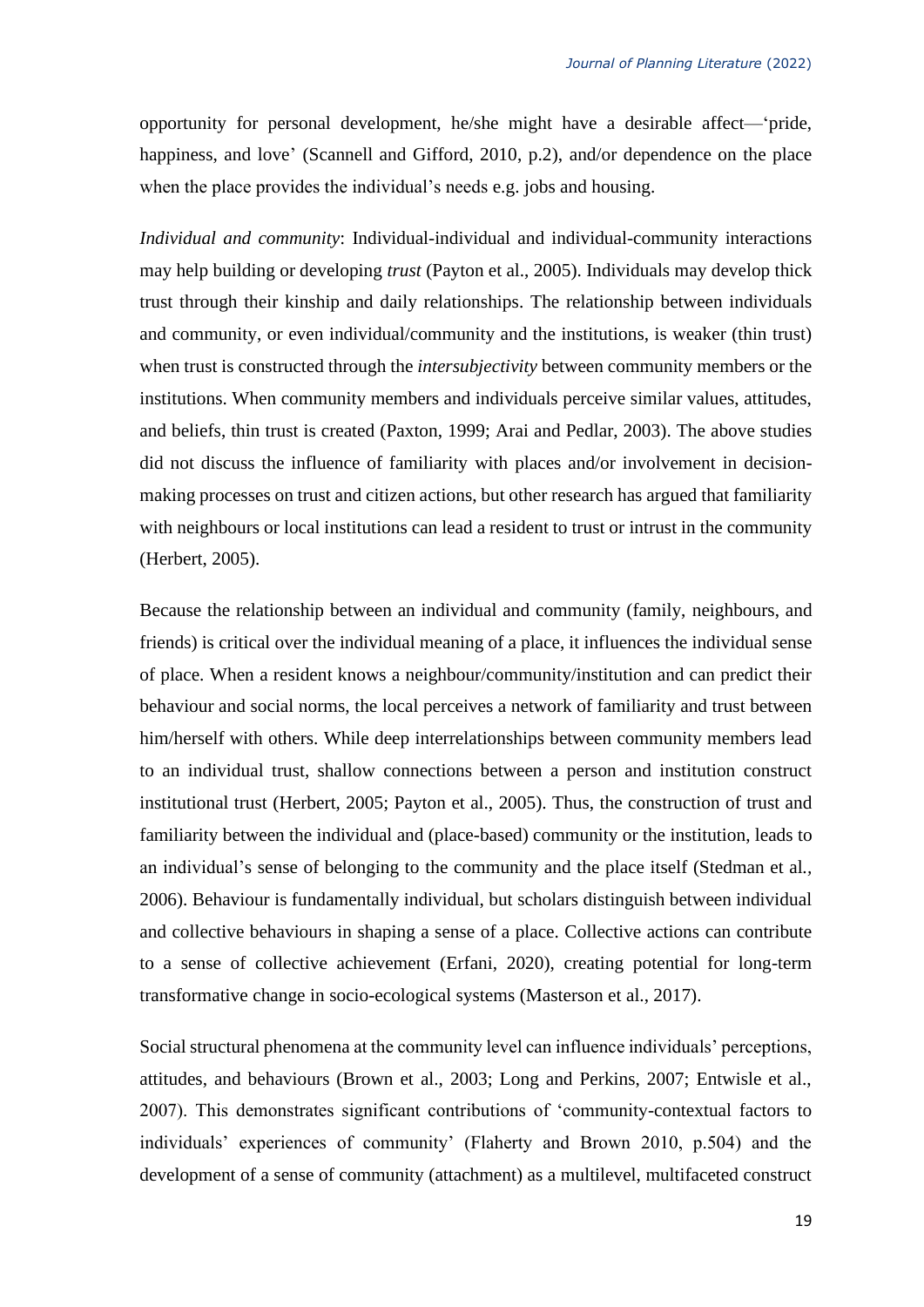opportunity for personal development, he/she might have a desirable affect—'pride, happiness, and love' (Scannell and Gifford, 2010, p.2), and/or dependence on the place when the place provides the individual's needs e.g. jobs and housing.

*Individual and community*: Individual-individual and individual-community interactions may help building or developing *trust* (Payton et al., 2005). Individuals may develop thick trust through their kinship and daily relationships. The relationship between individuals and community, or even individual/community and the institutions, is weaker (thin trust) when trust is constructed through the *intersubjectivity* between community members or the institutions. When community members and individuals perceive similar values, attitudes, and beliefs, thin trust is created (Paxton, 1999; Arai and Pedlar, 2003). The above studies did not discuss the influence of familiarity with places and/or involvement in decisionmaking processes on trust and citizen actions, but other research has argued that familiarity with neighbours or local institutions can lead a resident to trust or intrust in the community (Herbert, 2005).

Because the relationship between an individual and community (family, neighbours, and friends) is critical over the individual meaning of a place, it influences the individual sense of place. When a resident knows a neighbour/community/institution and can predict their behaviour and social norms, the local perceives a network of familiarity and trust between him/herself with others. While deep interrelationships between community members lead to an individual trust, shallow connections between a person and institution construct institutional trust (Herbert, 2005; Payton et al., 2005). Thus, the construction of trust and familiarity between the individual and (place-based) community or the institution, leads to an individual's sense of belonging to the community and the place itself (Stedman et al*.,* 2006). Behaviour is fundamentally individual, but scholars distinguish between individual and collective behaviours in shaping a sense of a place. Collective actions can contribute to a sense of collective achievement (Erfani, 2020), creating potential for long-term transformative change in socio-ecological systems (Masterson et al., 2017).

Social structural phenomena at the community level can influence individuals' perceptions, attitudes, and behaviours (Brown et al., 2003; Long and Perkins, 2007; Entwisle et al., 2007). This demonstrates significant contributions of 'community-contextual factors to individuals' experiences of community' (Flaherty and Brown 2010, p.504) and the development of a sense of community (attachment) as a multilevel, multifaceted construct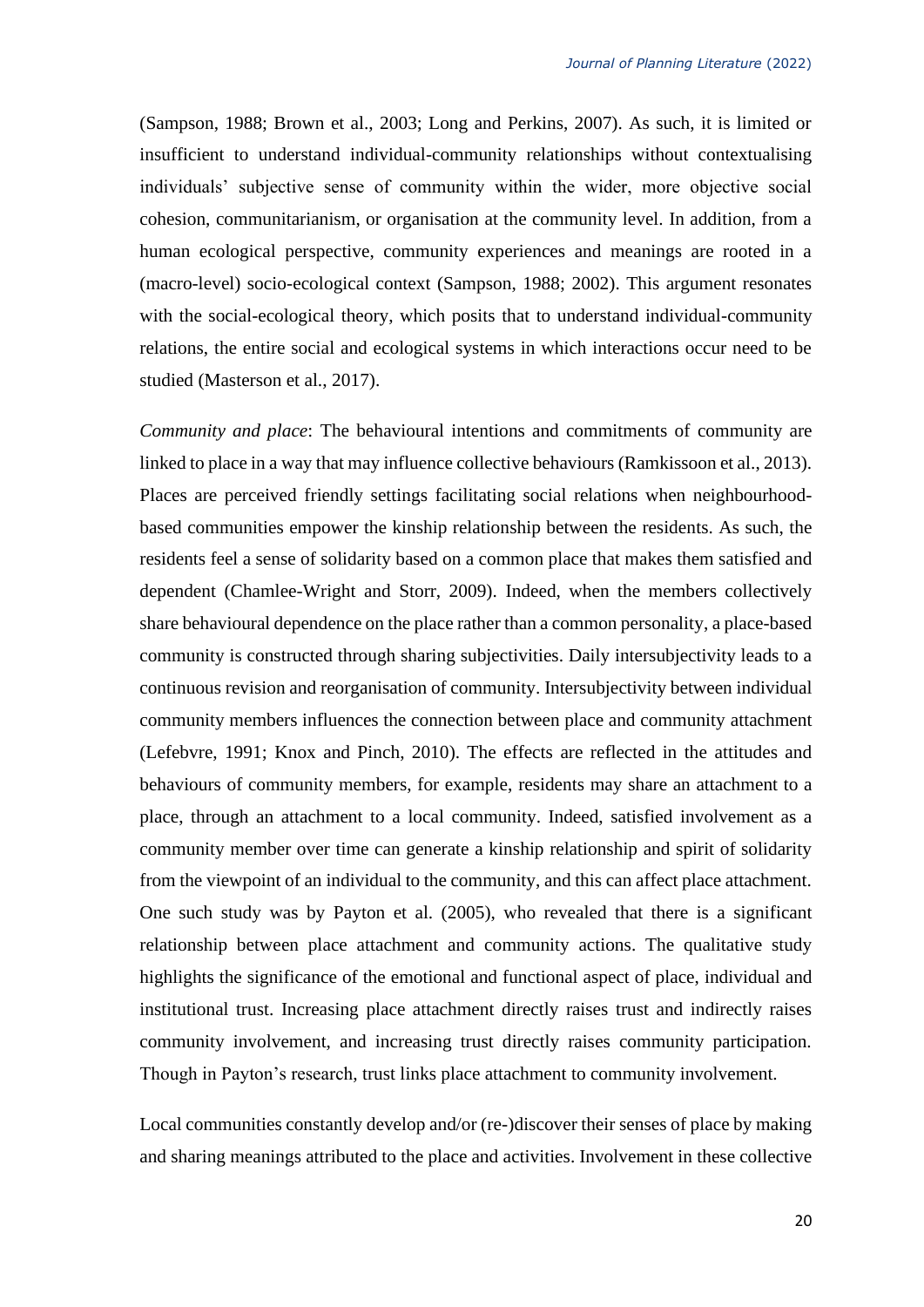(Sampson, 1988; Brown et al., 2003; Long and Perkins, 2007). As such, it is limited or insufficient to understand individual-community relationships without contextualising individuals' subjective sense of community within the wider, more objective social cohesion, communitarianism, or organisation at the community level. In addition, from a human ecological perspective, community experiences and meanings are rooted in a (macro-level) socio-ecological context (Sampson, 1988; 2002). This argument resonates with the social-ecological theory, which posits that to understand individual-community relations, the entire social and ecological systems in which interactions occur need to be studied (Masterson et al., 2017).

*Community and place*: The behavioural intentions and commitments of community are linked to place in a way that may influence collective behaviours (Ramkissoon et al., 2013). Places are perceived friendly settings facilitating social relations when neighbourhoodbased communities empower the kinship relationship between the residents. As such, the residents feel a sense of solidarity based on a common place that makes them satisfied and dependent (Chamlee-Wright and Storr, 2009). Indeed, when the members collectively share behavioural dependence on the place rather than a common personality, a place-based community is constructed through sharing subjectivities. Daily intersubjectivity leads to a continuous revision and reorganisation of community. Intersubjectivity between individual community members influences the connection between place and community attachment (Lefebvre, 1991; Knox and Pinch, 2010). The effects are reflected in the attitudes and behaviours of community members, for example, residents may share an attachment to a place, through an attachment to a local community. Indeed, satisfied involvement as a community member over time can generate a kinship relationship and spirit of solidarity from the viewpoint of an individual to the community, and this can affect place attachment. One such study was by Payton et al. (2005), who revealed that there is a significant relationship between place attachment and community actions. The qualitative study highlights the significance of the emotional and functional aspect of place, individual and institutional trust. Increasing place attachment directly raises trust and indirectly raises community involvement, and increasing trust directly raises community participation. Though in Payton's research, trust links place attachment to community involvement.

Local communities constantly develop and/or (re-)discover their senses of place by making and sharing meanings attributed to the place and activities. Involvement in these collective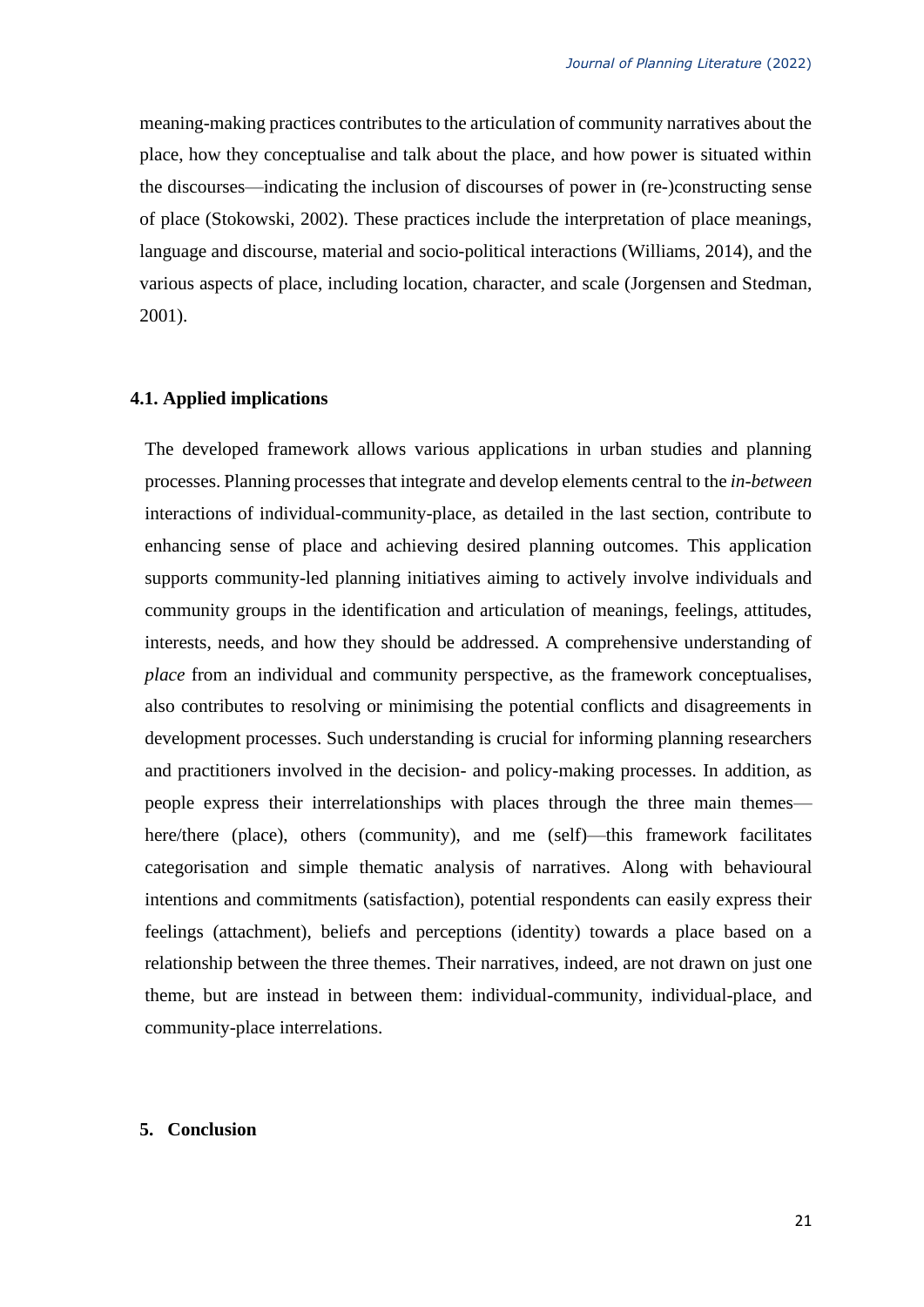meaning-making practices contributes to the articulation of community narratives about the place, how they conceptualise and talk about the place, and how power is situated within the discourses—indicating the inclusion of discourses of power in (re-)constructing sense of place (Stokowski, 2002). These practices include the interpretation of place meanings, language and discourse, material and socio-political interactions (Williams, 2014), and the various aspects of place, including location, character, and scale (Jorgensen and Stedman, 2001).

### **4.1. Applied implications**

The developed framework allows various applications in urban studies and planning processes. Planning processes that integrate and develop elements central to the *in-between* interactions of individual-community-place, as detailed in the last section, contribute to enhancing sense of place and achieving desired planning outcomes. This application supports community-led planning initiatives aiming to actively involve individuals and community groups in the identification and articulation of meanings, feelings, attitudes, interests, needs, and how they should be addressed. A comprehensive understanding of *place* from an individual and community perspective, as the framework conceptualises, also contributes to resolving or minimising the potential conflicts and disagreements in development processes. Such understanding is crucial for informing planning researchers and practitioners involved in the decision- and policy-making processes. In addition, as people express their interrelationships with places through the three main themes here/there (place), others (community), and me (self)—this framework facilitates categorisation and simple thematic analysis of narratives. Along with behavioural intentions and commitments (satisfaction), potential respondents can easily express their feelings (attachment), beliefs and perceptions (identity) towards a place based on a relationship between the three themes. Their narratives, indeed, are not drawn on just one theme, but are instead in between them: individual-community, individual-place, and community-place interrelations.

### **5. Conclusion**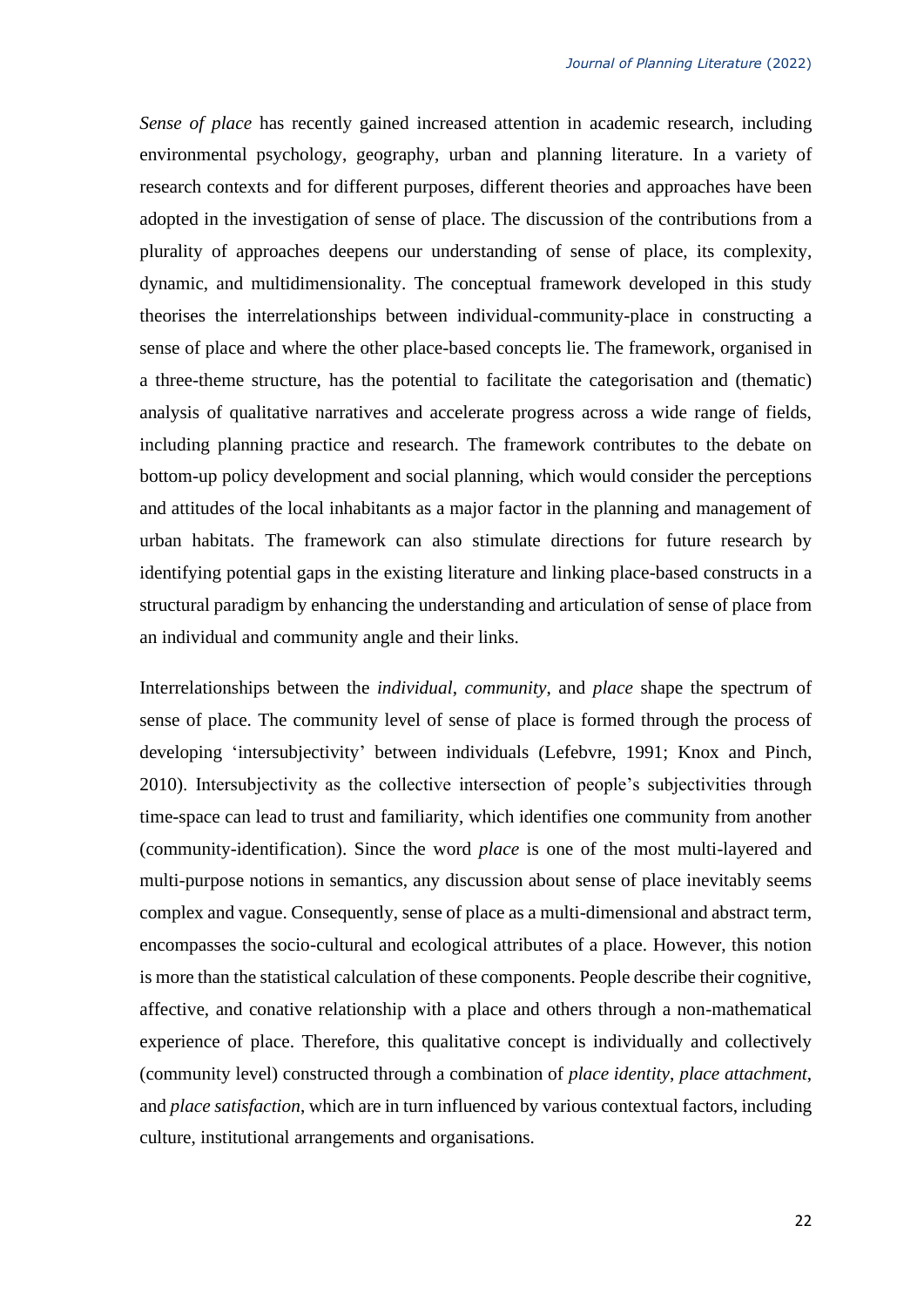*Sense of place* has recently gained increased attention in academic research, including environmental psychology, geography, urban and planning literature. In a variety of research contexts and for different purposes, different theories and approaches have been adopted in the investigation of sense of place. The discussion of the contributions from a plurality of approaches deepens our understanding of sense of place, its complexity, dynamic, and multidimensionality. The conceptual framework developed in this study theorises the interrelationships between individual-community-place in constructing a sense of place and where the other place-based concepts lie. The framework, organised in a three-theme structure, has the potential to facilitate the categorisation and (thematic) analysis of qualitative narratives and accelerate progress across a wide range of fields, including planning practice and research. The framework contributes to the debate on bottom-up policy development and social planning, which would consider the perceptions and attitudes of the local inhabitants as a major factor in the planning and management of urban habitats. The framework can also stimulate directions for future research by identifying potential gaps in the existing literature and linking place-based constructs in a structural paradigm by enhancing the understanding and articulation of sense of place from an individual and community angle and their links.

Interrelationships between the *individual*, *community*, and *place* shape the spectrum of sense of place. The community level of sense of place is formed through the process of developing 'intersubjectivity' between individuals (Lefebvre, 1991; Knox and Pinch, 2010). Intersubjectivity as the collective intersection of people's subjectivities through time-space can lead to trust and familiarity, which identifies one community from another (community-identification). Since the word *place* is one of the most multi-layered and multi-purpose notions in semantics, any discussion about sense of place inevitably seems complex and vague. Consequently, sense of place as a multi-dimensional and abstract term, encompasses the socio-cultural and ecological attributes of a place. However, this notion is more than the statistical calculation of these components. People describe their cognitive, affective, and conative relationship with a place and others through a non-mathematical experience of place. Therefore, this qualitative concept is individually and collectively (community level) constructed through a combination of *place identity*, *place attachment*, and *place satisfaction*, which are in turn influenced by various contextual factors, including culture, institutional arrangements and organisations.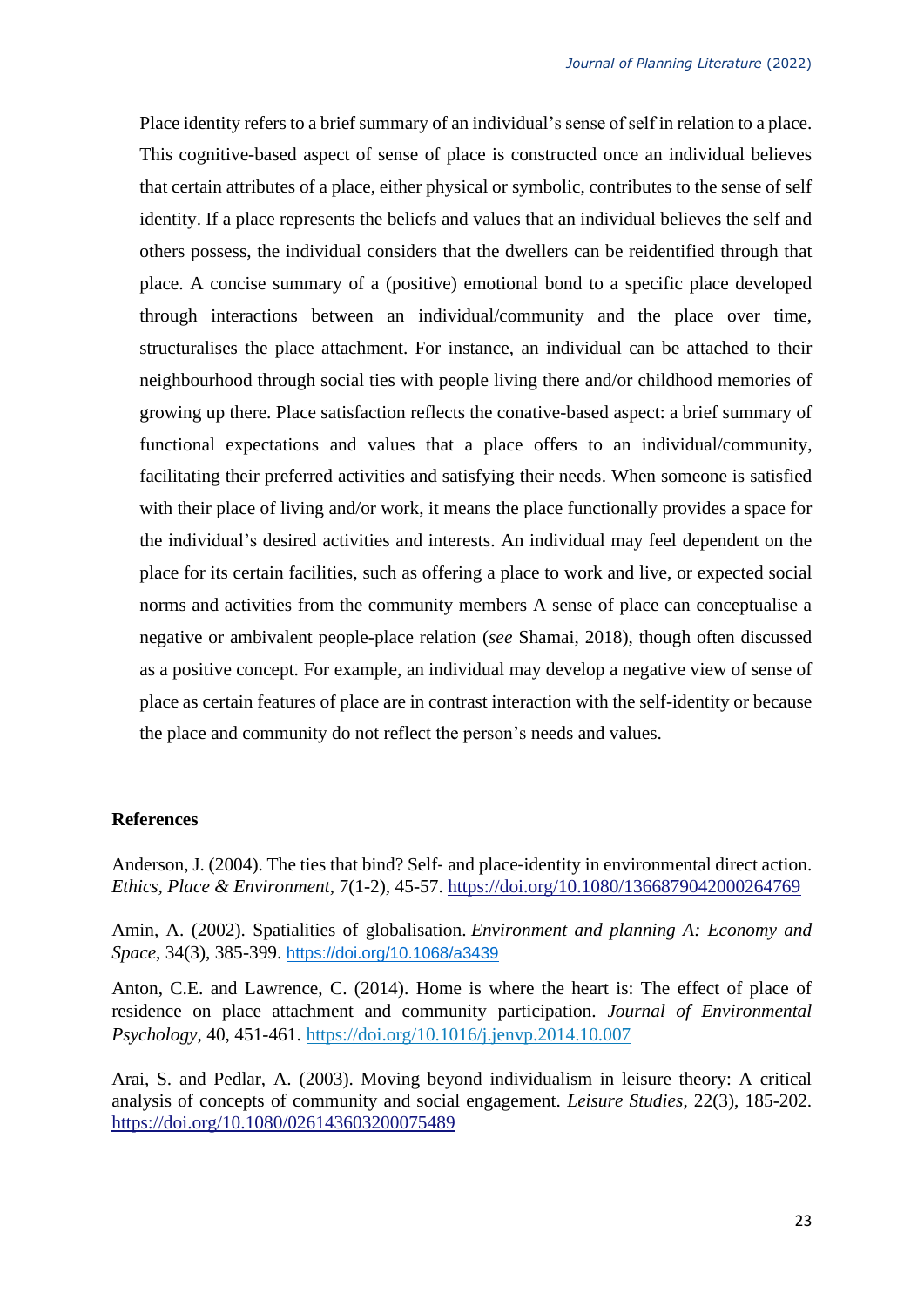Place identity refers to a brief summary of an individual's sense of self in relation to a place. This cognitive-based aspect of sense of place is constructed once an individual believes that certain attributes of a place, either physical or symbolic, contributes to the sense of self identity. If a place represents the beliefs and values that an individual believes the self and others possess, the individual considers that the dwellers can be reidentified through that place. A concise summary of a (positive) emotional bond to a specific place developed through interactions between an individual/community and the place over time, structuralises the place attachment. For instance, an individual can be attached to their neighbourhood through social ties with people living there and/or childhood memories of growing up there. Place satisfaction reflects the conative-based aspect: a brief summary of functional expectations and values that a place offers to an individual/community, facilitating their preferred activities and satisfying their needs. When someone is satisfied with their place of living and/or work, it means the place functionally provides a space for the individual's desired activities and interests. An individual may feel dependent on the place for its certain facilities, such as offering a place to work and live, or expected social norms and activities from the community members A sense of place can conceptualise a negative or ambivalent people-place relation (*see* Shamai, 2018), though often discussed as a positive concept. For example, an individual may develop a negative view of sense of place as certain features of place are in contrast interaction with the self-identity or because the place and community do not reflect the person's needs and values.

# **References**

Anderson, J. (2004). The ties that bind? Self- and place-identity in environmental direct action. *Ethics, Place & Environment*, 7(1-2), 45-57. <https://doi.org/10.1080/1366879042000264769>

Amin, A. (2002). Spatialities of globalisation. *Environment and planning A: Economy and Space*, 34(3), 385-399. [https://doi.org/10.1068/a3439](https://doi.org/10.1068%2Fa3439)

Anton, C.E. and Lawrence, C. (2014). Home is where the heart is: The effect of place of residence on place attachment and community participation. *Journal of Environmental Psychology*, 40, 451-461. <https://doi.org/10.1016/j.jenvp.2014.10.007>

Arai, S. and Pedlar, A. (2003). Moving beyond individualism in leisure theory: A critical analysis of concepts of community and social engagement. *Leisure Studies*, 22(3), 185-202. <https://doi.org/10.1080/026143603200075489>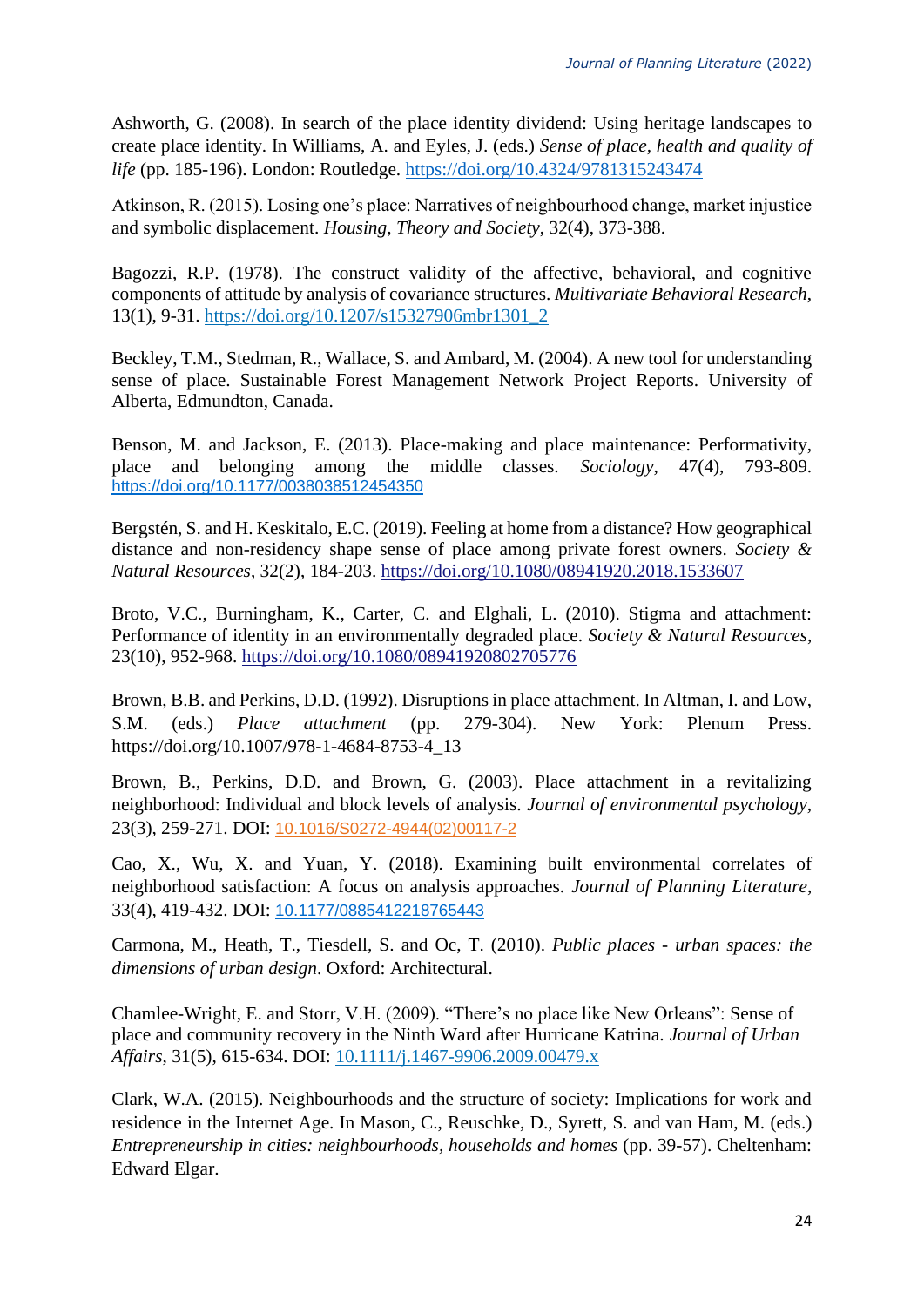Ashworth, G. (2008). In search of the place identity dividend: Using heritage landscapes to create place identity. In Williams, A. and Eyles, J. (eds.) *Sense of place, health and quality of life* (pp. 185-196). London: Routledge.<https://doi.org/10.4324/9781315243474>

Atkinson, R. (2015). Losing one's place: Narratives of neighbourhood change, market injustice and symbolic displacement. *Housing, Theory and Society*, 32(4), 373-388.

Bagozzi, R.P. (1978). The construct validity of the affective, behavioral, and cognitive components of attitude by analysis of covariance structures. *Multivariate Behavioral Research*, 13(1), 9-31. [https://doi.org/10.1207/s15327906mbr1301\\_2](https://doi.org/10.1207/s15327906mbr1301_2)

Beckley, T.M., Stedman, R., Wallace, S. and Ambard, M. (2004). A new tool for understanding sense of place. Sustainable Forest Management Network Project Reports. University of Alberta, Edmundton, Canada.

Benson, M. and Jackson, E. (2013). Place-making and place maintenance: Performativity, place and belonging among the middle classes. *Sociology*, 47(4), 793-809. [https://doi.org/10.1177/0038038512454350](https://doi.org/10.1177%2F0038038512454350)

Bergstén, S. and H. Keskitalo, E.C. (2019). Feeling at home from a distance? How geographical distance and non-residency shape sense of place among private forest owners. *Society & Natural Resources*, 32(2), 184-203. <https://doi.org/10.1080/08941920.2018.1533607>

Broto, V.C., Burningham, K., Carter, C. and Elghali, L. (2010). Stigma and attachment: Performance of identity in an environmentally degraded place. *Society & Natural Resources*, 23(10), 952-968.<https://doi.org/10.1080/08941920802705776>

Brown, B.B. and Perkins, D.D. (1992). Disruptions in place attachment. In Altman, I. and Low, S.M. (eds.) *Place attachment* (pp. 279-304). New York: Plenum Press. https://doi.org/10.1007/978-1-4684-8753-4\_13

Brown, B., Perkins, D.D. and Brown, G. (2003). Place attachment in a revitalizing neighborhood: Individual and block levels of analysis. *Journal of environmental psychology*, 23(3), 259-271. DOI: [10.1016/S0272-4944\(02\)00117-2](https://doi.org/10.1016/S0272-4944(02)00117-2)

Cao, X., Wu, X. and Yuan, Y. (2018). Examining built environmental correlates of neighborhood satisfaction: A focus on analysis approaches. *Journal of Planning Literature*, 33(4), 419-432. DOI: [10.1177/0885412218765443](https://doi.org/10.1177%2F0885412218765443)

Carmona, M., Heath, T., Tiesdell, S. and Oc, T. (2010). *Public places - urban spaces: the dimensions of urban design*. Oxford: Architectural.

Chamlee-Wright, E. and Storr, V.H. (2009). "There's no place like New Orleans": Sense of place and community recovery in the Ninth Ward after Hurricane Katrina. *Journal of Urban Affairs*, 31(5), 615-634. DOI: [10.1111/j.1467-9906.2009.00479.x](https://doi.org/10.1111/j.1467-9906.2009.00479.x)

Clark, W.A. (2015). Neighbourhoods and the structure of society: Implications for work and residence in the Internet Age. In Mason, C., Reuschke, D., Syrett, S. and van Ham, M. (eds.) *Entrepreneurship in cities: neighbourhoods, households and homes* (pp. 39-57). Cheltenham: Edward Elgar.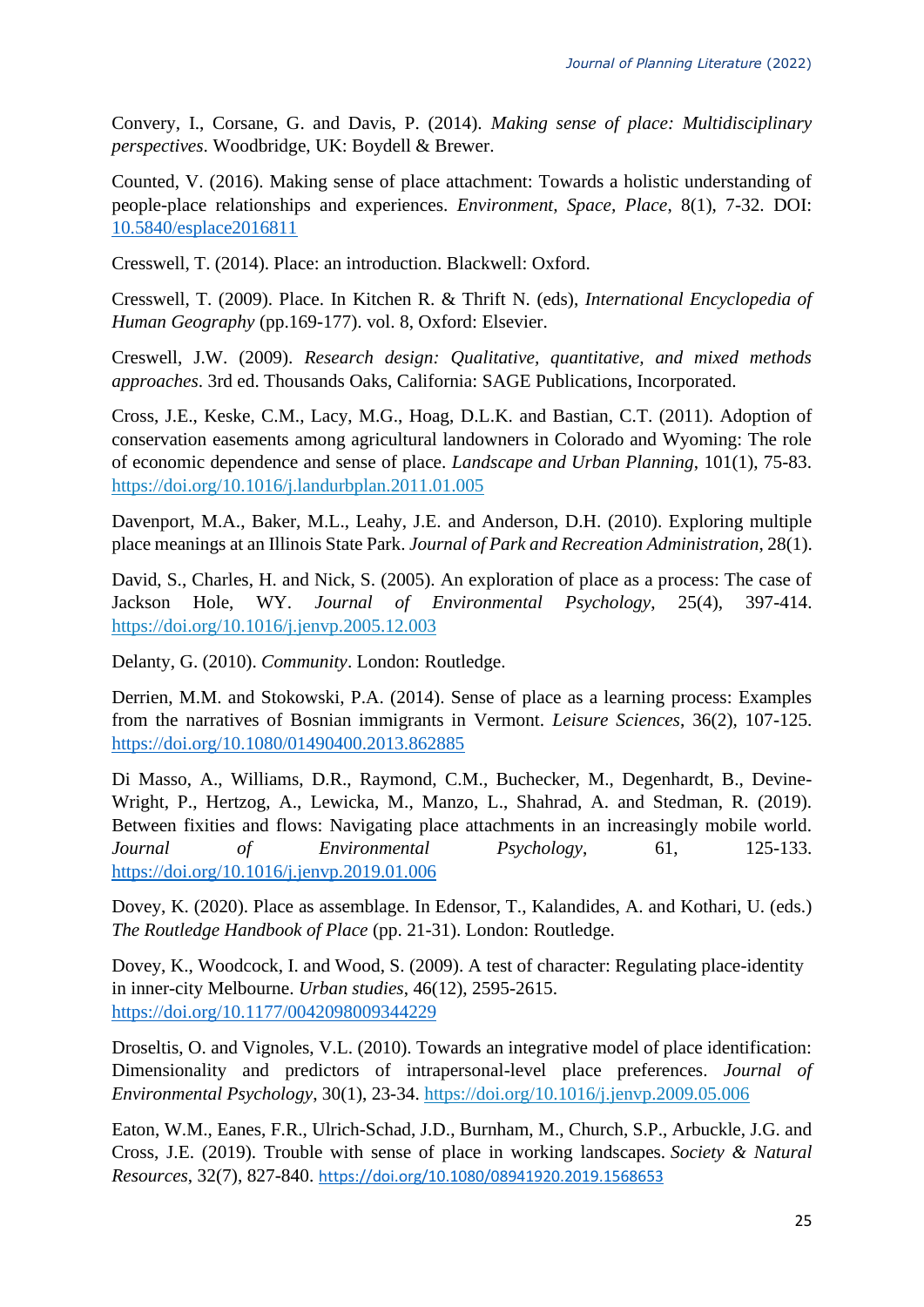Convery, I., Corsane, G. and Davis, P. (2014). *Making sense of place: Multidisciplinary perspectives*. Woodbridge, UK: Boydell & Brewer.

Counted, V. (2016). Making sense of place attachment: Towards a holistic understanding of people-place relationships and experiences. *Environment, Space, Place*, 8(1), 7-32. DOI: [10.5840/esplace2016811](https://doi.org/10.5840/esplace2016811)

Cresswell, T. (2014). Place: an introduction. Blackwell: Oxford.

Cresswell, T. (2009). Place. In Kitchen R. & Thrift N. (eds), *International Encyclopedia of Human Geography* (pp.169-177). vol. 8, Oxford: Elsevier.

Creswell, J.W. (2009). *Research design: Qualitative, quantitative, and mixed methods approaches*. 3rd ed. Thousands Oaks, California: SAGE Publications, Incorporated.

Cross, J.E., Keske, C.M., Lacy, M.G., Hoag, D.L.K. and Bastian, C.T. (2011). Adoption of conservation easements among agricultural landowners in Colorado and Wyoming: The role of economic dependence and sense of place. *Landscape and Urban Planning*, 101(1), 75-83. <https://doi.org/10.1016/j.landurbplan.2011.01.005>

Davenport, M.A., Baker, M.L., Leahy, J.E. and Anderson, D.H. (2010). Exploring multiple place meanings at an Illinois State Park. *Journal of Park and Recreation Administration*, 28(1).

David, S., Charles, H. and Nick, S. (2005). An exploration of place as a process: The case of Jackson Hole, WY. *Journal of Environmental Psychology*, 25(4), 397-414. <https://doi.org/10.1016/j.jenvp.2005.12.003>

Delanty, G. (2010). *Community*. London: Routledge.

Derrien, M.M. and Stokowski, P.A. (2014). Sense of place as a learning process: Examples from the narratives of Bosnian immigrants in Vermont. *Leisure Sciences*, 36(2), 107-125. <https://doi.org/10.1080/01490400.2013.862885>

Di Masso, A., Williams, D.R., Raymond, C.M., Buchecker, M., Degenhardt, B., Devine-Wright, P., Hertzog, A., Lewicka, M., Manzo, L., Shahrad, A. and Stedman, R. (2019). Between fixities and flows: Navigating place attachments in an increasingly mobile world. *Journal of Environmental Psychology*, 61, 125-133. <https://doi.org/10.1016/j.jenvp.2019.01.006>

Dovey, K. (2020). Place as assemblage. In Edensor, T., Kalandides, A. and Kothari, U. (eds.) *The Routledge Handbook of Place* (pp. 21-31). London: Routledge.

Dovey, K., Woodcock, I. and Wood, S. (2009). A test of character: Regulating place-identity in inner-city Melbourne. *Urban studies*, 46(12), 2595-2615. <https://doi.org/10.1177/0042098009344229>

Droseltis, O. and Vignoles, V.L. (2010). Towards an integrative model of place identification: Dimensionality and predictors of intrapersonal-level place preferences. *Journal of Environmental Psychology*, 30(1), 23-34. <https://doi.org/10.1016/j.jenvp.2009.05.006>

Eaton, W.M., Eanes, F.R., Ulrich-Schad, J.D., Burnham, M., Church, S.P., Arbuckle, J.G. and Cross, J.E. (2019). Trouble with sense of place in working landscapes. *Society & Natural Resources*, 32(7), 827-840. <https://doi.org/10.1080/08941920.2019.1568653>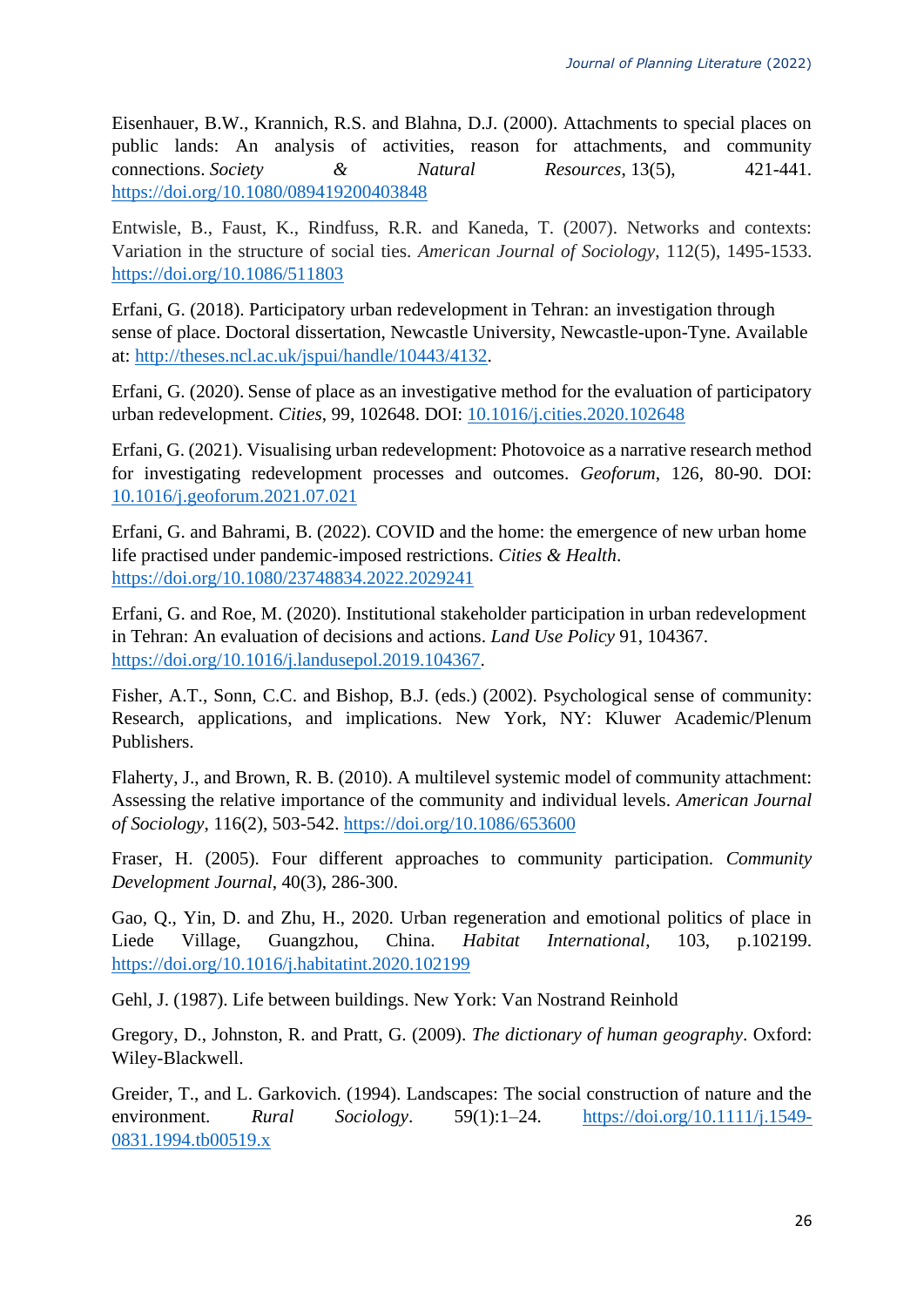Eisenhauer, B.W., Krannich, R.S. and Blahna, D.J. (2000). Attachments to special places on public lands: An analysis of activities, reason for attachments, and community connections. *Society & Natural Resources*, 13(5), 421-441. <https://doi.org/10.1080/089419200403848>

Entwisle, B., Faust, K., Rindfuss, R.R. and Kaneda, T. (2007). Networks and contexts: Variation in the structure of social ties. *American Journal of Sociology*, 112(5), 1495-1533. <https://doi.org/10.1086/511803>

Erfani, G. (2018). Participatory urban redevelopment in Tehran: an investigation through sense of place. Doctoral dissertation, Newcastle University, Newcastle-upon-Tyne. Available at: [http://theses.ncl.ac.uk/jspui/handle/10443/4132.](http://theses.ncl.ac.uk/jspui/handle/10443/4132)

Erfani, G. (2020). Sense of place as an investigative method for the evaluation of participatory urban redevelopment. *Cities*, 99, 102648. DOI: [10.1016/j.cities.2020.102648](https://doi.org/10.1016/j.cities.2020.102648)

Erfani, G. (2021). Visualising urban redevelopment: Photovoice as a narrative research method for investigating redevelopment processes and outcomes. *Geoforum*, 126, 80-90. DOI: [10.1016/j.geoforum.2021.07.021](https://doi.org/10.1016/j.geoforum.2021.07.021)

Erfani, G. and Bahrami, B. (2022). COVID and the home: the emergence of new urban home life practised under pandemic-imposed restrictions. *Cities & Health*. <https://doi.org/10.1080/23748834.2022.2029241>

Erfani, G. and Roe, M. (2020). Institutional stakeholder participation in urban redevelopment in Tehran: An evaluation of decisions and actions. *Land Use Policy* 91, 104367. [https://doi.org/10.1016/j.landusepol.2019.104367.](https://doi.org/10.1016/j.landusepol.2019.104367)

Fisher, A.T., Sonn, C.C. and Bishop, B.J. (eds.) (2002). Psychological sense of community: Research, applications, and implications. New York, NY: Kluwer Academic/Plenum Publishers.

Flaherty, J., and Brown, R. B. (2010). A multilevel systemic model of community attachment: Assessing the relative importance of the community and individual levels. *American Journal of Sociology*, 116(2), 503-542.<https://doi.org/10.1086/653600>

Fraser, H. (2005). Four different approaches to community participation. *Community Development Journal*, 40(3), 286-300.

Gao, Q., Yin, D. and Zhu, H., 2020. Urban regeneration and emotional politics of place in Liede Village, Guangzhou, China. *Habitat International*, 103, p.102199. <https://doi.org/10.1016/j.habitatint.2020.102199>

Gehl, J. (1987). Life between buildings. New York: Van Nostrand Reinhold

Gregory, D., Johnston, R. and Pratt, G. (2009). *The dictionary of human geography*. Oxford: Wiley-Blackwell.

Greider, T., and L. Garkovich. (1994). Landscapes: The social construction of nature and the environment. *Rural Sociology*. 59(1):1–24. [https://doi.org/10.1111/j.1549-](https://doi.org/10.1111/j.1549-0831.1994.tb00519.x) [0831.1994.tb00519.x](https://doi.org/10.1111/j.1549-0831.1994.tb00519.x)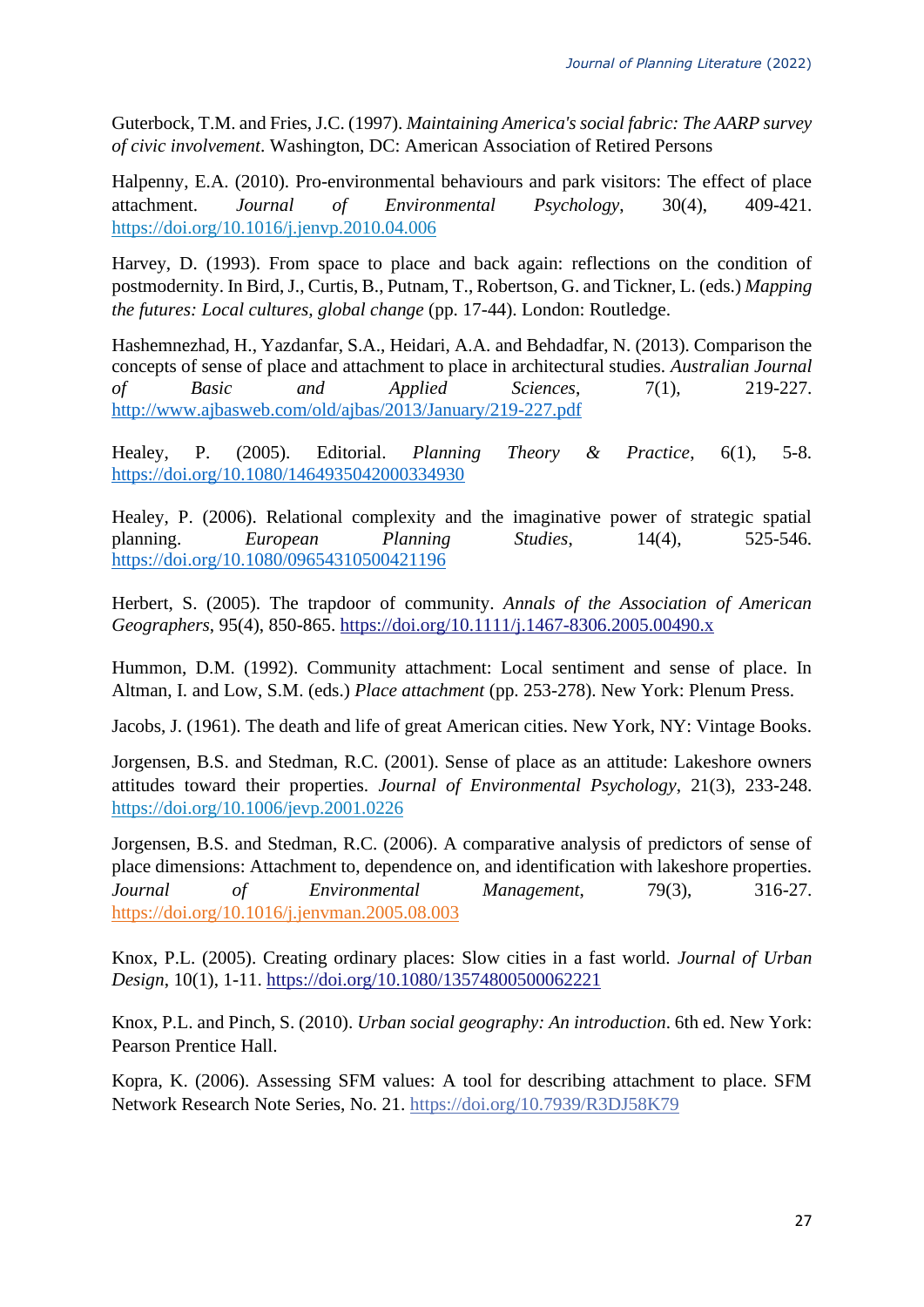Guterbock, T.M. and Fries, J.C. (1997). *Maintaining America's social fabric: The AARP survey of civic involvement*. Washington, DC: American Association of Retired Persons

Halpenny, E.A. (2010). Pro-environmental behaviours and park visitors: The effect of place attachment. *Journal of Environmental Psychology*, 30(4), 409-421. <https://doi.org/10.1016/j.jenvp.2010.04.006>

Harvey, D. (1993). From space to place and back again: reflections on the condition of postmodernity. In Bird, J., Curtis, B., Putnam, T., Robertson, G. and Tickner, L. (eds.) *Mapping the futures: Local cultures, global change* (pp. 17-44). London: Routledge.

<span id="page-26-0"></span>Hashemnezhad, H., Yazdanfar, S.A., Heidari, A.A. and Behdadfar, N. (2013). Comparison the concepts of sense of place and attachment to place in architectural studies. *Australian Journal of Basic and Applied Sciences*, 7(1), 219-227. <http://www.ajbasweb.com/old/ajbas/2013/January/219-227.pdf>

Healey, P. (2005). Editorial. *Planning Theory & Practice*, 6(1), 5-8. <https://doi.org/10.1080/1464935042000334930>

Healey, P. (2006). Relational complexity and the imaginative power of strategic spatial planning. *European Planning Studies*, 14(4), 525-546. <https://doi.org/10.1080/09654310500421196>

Herbert, S. (2005). The trapdoor of community. *Annals of the Association of American Geographers*, 95(4), 850-865.<https://doi.org/10.1111/j.1467-8306.2005.00490.x>

Hummon, D.M. (1992). Community attachment: Local sentiment and sense of place. In Altman, I. and Low, S.M. (eds.) *Place attachment* (pp. 253-278). New York: Plenum Press.

Jacobs, J. (1961). The death and life of great American cities. New York, NY: Vintage Books.

Jorgensen, B.S. and Stedman, R.C. (2001). Sense of place as an attitude: Lakeshore owners attitudes toward their properties. *Journal of Environmental Psychology*, 21(3), 233-248. <https://doi.org/10.1006/jevp.2001.0226>

Jorgensen, B.S. and Stedman, R.C. (2006). A comparative analysis of predictors of sense of place dimensions: Attachment to, dependence on, and identification with lakeshore properties. *Journal of Environmental Management*, 79(3), 316-27. <https://doi.org/10.1016/j.jenvman.2005.08.003>

Knox, P.L. (2005). Creating ordinary places: Slow cities in a fast world. *Journal of Urban Design*, 10(1), 1-11.<https://doi.org/10.1080/13574800500062221>

Knox, P.L. and Pinch, S. (2010). *Urban social geography: An introduction*. 6th ed. New York: Pearson Prentice Hall.

Kopra, K. (2006). Assessing SFM values: A tool for describing attachment to place. SFM Network Research Note Series, No. 21.<https://doi.org/10.7939/R3DJ58K79>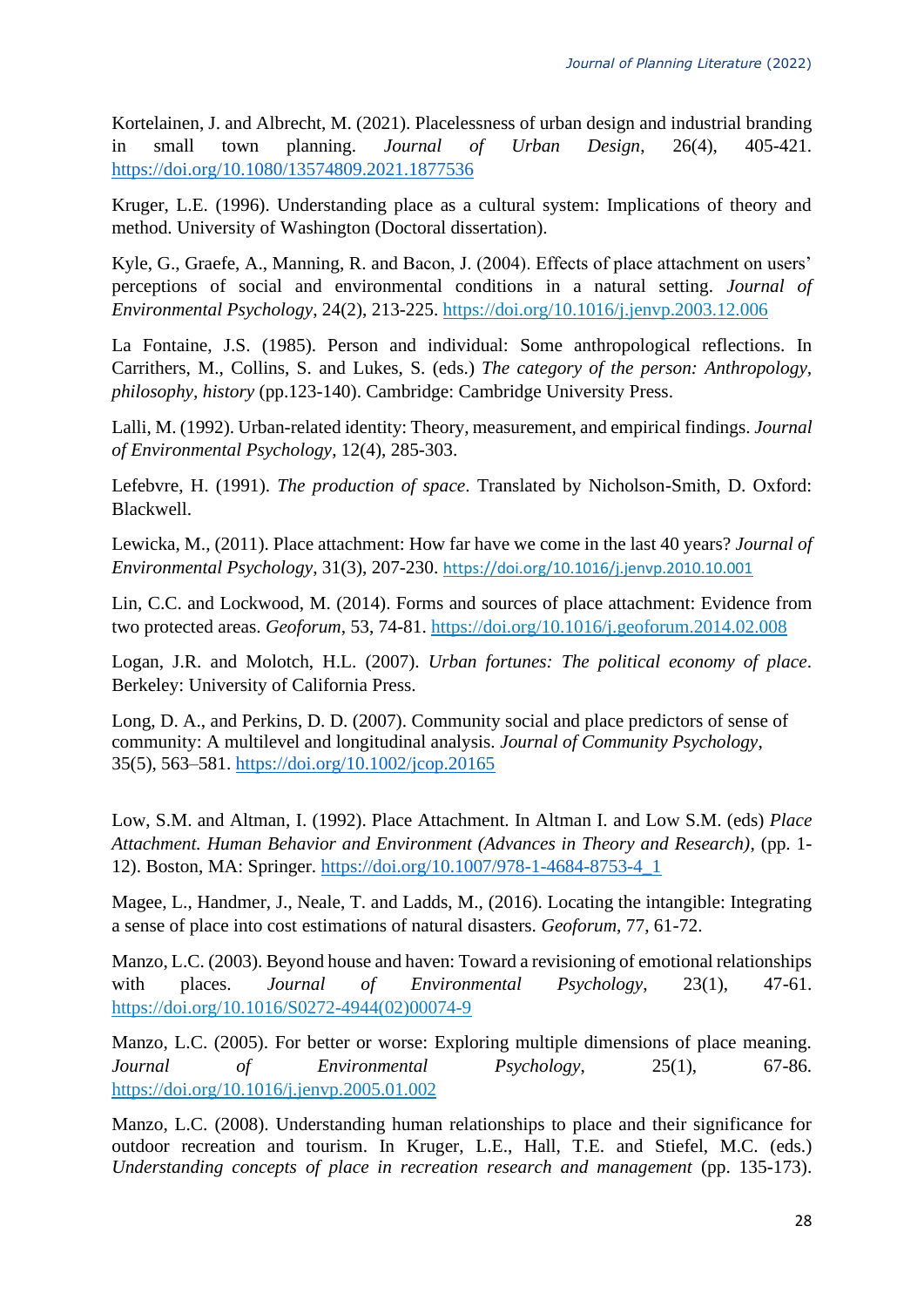Kortelainen, J. and Albrecht, M. (2021). Placelessness of urban design and industrial branding in small town planning. *Journal of Urban Design*, 26(4), 405-421. <https://doi.org/10.1080/13574809.2021.1877536>

Kruger, L.E. (1996). Understanding place as a cultural system: Implications of theory and method. University of Washington (Doctoral dissertation).

Kyle, G., Graefe, A., Manning, R. and Bacon, J. (2004). Effects of place attachment on users' perceptions of social and environmental conditions in a natural setting. *Journal of Environmental Psychology*, 24(2), 213-225.<https://doi.org/10.1016/j.jenvp.2003.12.006>

La Fontaine, J.S. (1985). Person and individual: Some anthropological reflections. In Carrithers, M., Collins, S. and Lukes, S. (eds.) *The category of the person: Anthropology, philosophy, history* (pp.123-140). Cambridge: Cambridge University Press.

Lalli, M. (1992). Urban-related identity: Theory, measurement, and empirical findings. *Journal of Environmental Psychology*, 12(4), 285-303.

Lefebvre, H. (1991). *The production of space*. Translated by Nicholson-Smith, D. Oxford: Blackwell.

Lewicka, M., (2011). Place attachment: How far have we come in the last 40 years? *Journal of Environmental Psychology*, 31(3), 207-230. https://doi.org/10.1016/j.jenvp.2010.10.001

Lin, C.C. and Lockwood, M. (2014). Forms and sources of place attachment: Evidence from two protected areas. *Geoforum*, 53, 74-81. <https://doi.org/10.1016/j.geoforum.2014.02.008>

Logan, J.R. and Molotch, H.L. (2007). *Urban fortunes: The political economy of place*. Berkeley: University of California Press.

Long, D. A., and Perkins, D. D. (2007). Community social and place predictors of sense of community: A multilevel and longitudinal analysis. *Journal of Community Psychology*, 35(5), 563–581.<https://doi.org/10.1002/jcop.20165>

Low, S.M. and Altman, I. (1992). Place Attachment. In Altman I. and Low S.M. (eds) *Place Attachment. Human Behavior and Environment (Advances in Theory and Research)*, (pp. 1- 12). Boston, MA: Springer. [https://doi.org/10.1007/978-1-4684-8753-4\\_1](https://doi.org/10.1007/978-1-4684-8753-4_1)

Magee, L., Handmer, J., Neale, T. and Ladds, M., (2016). Locating the intangible: Integrating a sense of place into cost estimations of natural disasters. *Geoforum*, 77, 61-72.

Manzo, L.C. (2003). Beyond house and haven: Toward a revisioning of emotional relationships with places. *Journal of Environmental Psychology*, 23(1), 47-61. [https://doi.org/10.1016/S0272-4944\(02\)00074-9](https://doi.org/10.1016/S0272-4944(02)00074-9)

Manzo, L.C. (2005). For better or worse: Exploring multiple dimensions of place meaning. *Journal of Environmental Psychology*, 25(1), 67-86. <https://doi.org/10.1016/j.jenvp.2005.01.002>

<span id="page-27-0"></span>Manzo, L.C. (2008). Understanding human relationships to place and their significance for outdoor recreation and tourism. In Kruger, L.E., Hall, T.E. and Stiefel, M.C. (eds.) *Understanding concepts of place in recreation research and management* (pp. 135-173).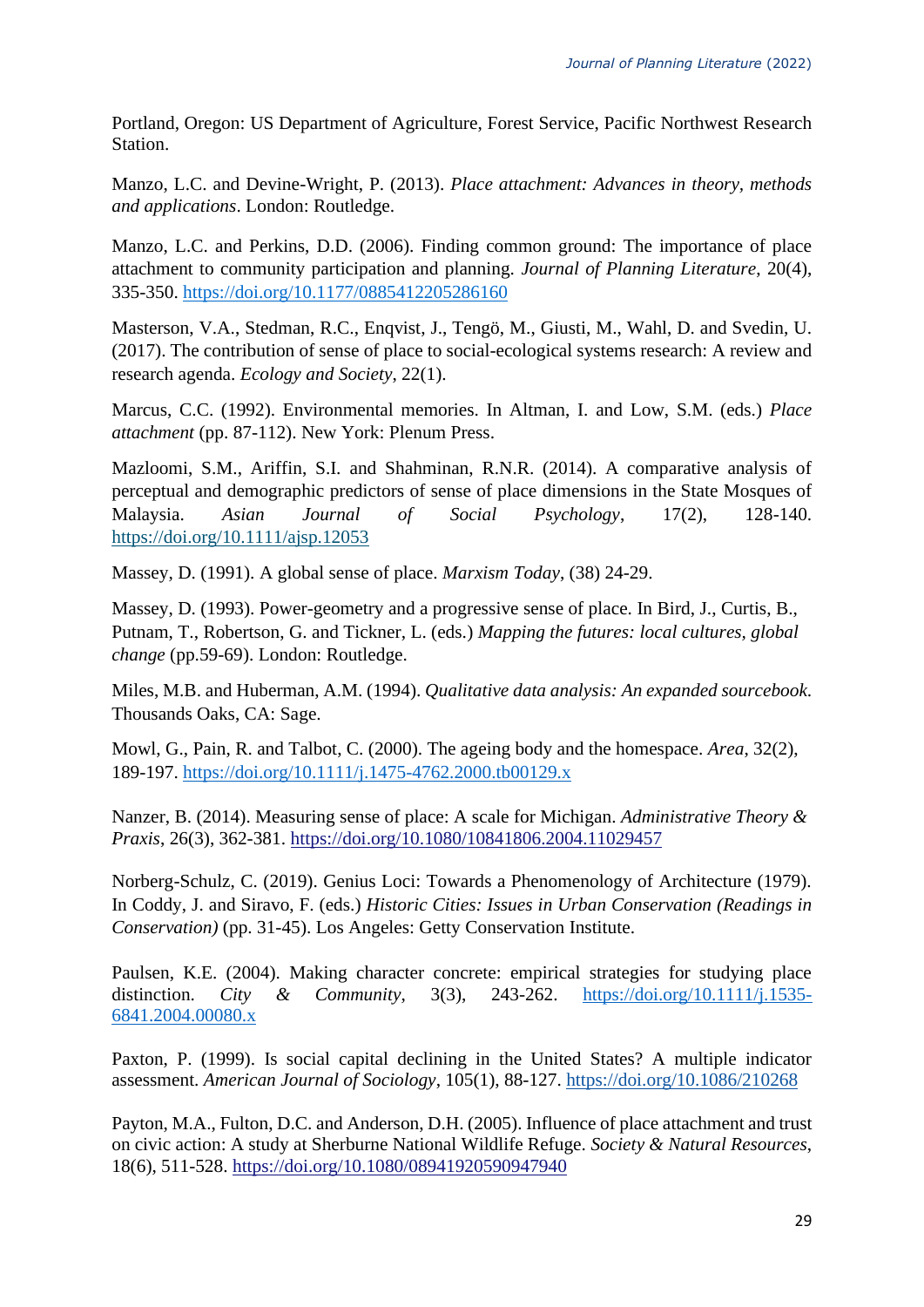Portland, Oregon: US Department of Agriculture, Forest Service, Pacific Northwest Research Station.

Manzo, L.C. and Devine-Wright, P. (2013). *Place attachment: Advances in theory, methods and applications*. London: Routledge.

Manzo, L.C. and Perkins, D.D. (2006). Finding common ground: The importance of place attachment to community participation and planning. *Journal of Planning Literature*, 20(4), 335-350. [https://doi.org/10.1177/0885412205286160](https://doi.org/10.1177%2F0885412205286160)

Masterson, V.A., Stedman, R.C., Enqvist, J., Tengö, M., Giusti, M., Wahl, D. and Svedin, U. (2017). The contribution of sense of place to social-ecological systems research: A review and research agenda. *Ecology and Society*, 22(1).

Marcus, C.C. (1992). Environmental memories. In Altman, I. and Low, S.M. (eds.) *Place attachment* (pp. 87-112). New York: Plenum Press.

Mazloomi, S.M., Ariffin, S.I. and Shahminan, R.N.R. (2014). A comparative analysis of perceptual and demographic predictors of sense of place dimensions in the State Mosques of Malaysia. *Asian Journal of Social Psychology*, 17(2), 128-140. <https://doi.org/10.1111/ajsp.12053>

Massey, D. (1991). A global sense of place. *Marxism Today*, (38) 24-29.

Massey, D. (1993). Power-geometry and a progressive sense of place. In Bird, J., Curtis, B., Putnam, T., Robertson, G. and Tickner, L. (eds.) *Mapping the futures: local cultures, global change* (pp.59-69). London: Routledge.

Miles, M.B. and Huberman, A.M. (1994). *Qualitative data analysis: An expanded sourcebook*. Thousands Oaks, CA: Sage.

Mowl, G., Pain, R. and Talbot, C. (2000). The ageing body and the homespace. *Area*, 32(2), 189-197.<https://doi.org/10.1111/j.1475-4762.2000.tb00129.x>

Nanzer, B. (2014). Measuring sense of place: A scale for Michigan. *Administrative Theory & Praxis*, 26(3), 362-381. <https://doi.org/10.1080/10841806.2004.11029457>

Norberg-Schulz, C. (2019). Genius Loci: Towards a Phenomenology of Architecture (1979). In Coddy, J. and Siravo, F. (eds.) *Historic Cities: Issues in Urban Conservation (Readings in Conservation)* (pp. 31-45). Los Angeles: Getty Conservation Institute.

<span id="page-28-0"></span>Paulsen, K.E. (2004). Making character concrete: empirical strategies for studying place distinction. *City & Community*, 3(3), 243-262. [https://doi.org/10.1111/j.1535-](https://doi.org/10.1111/j.1535-6841.2004.00080.x) [6841.2004.00080.x](https://doi.org/10.1111/j.1535-6841.2004.00080.x)

Paxton, P. (1999). Is social capital declining in the United States? A multiple indicator assessment. *American Journal of Sociology*, 105(1), 88-127.<https://doi.org/10.1086/210268>

Payton, M.A., Fulton, D.C. and Anderson, D.H. (2005). Influence of place attachment and trust on civic action: A study at Sherburne National Wildlife Refuge. *Society & Natural Resources*, 18(6), 511-528.<https://doi.org/10.1080/08941920590947940>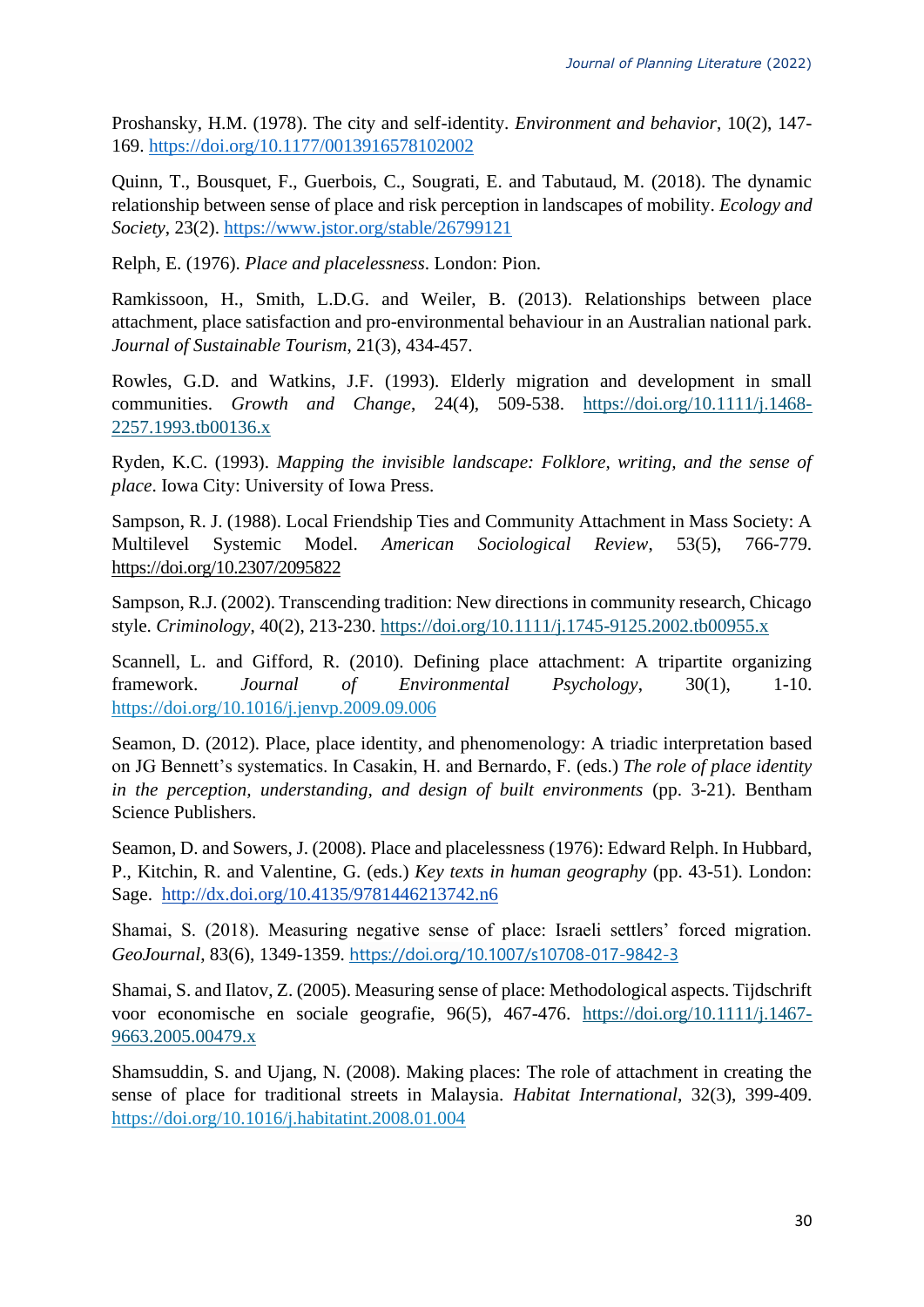Proshansky, H.M. (1978). The city and self-identity. *Environment and behavior*, 10(2), 147- 169.<https://doi.org/10.1177/0013916578102002>

Quinn, T., Bousquet, F., Guerbois, C., Sougrati, E. and Tabutaud, M. (2018). The dynamic relationship between sense of place and risk perception in landscapes of mobility. *Ecology and Society*, 23(2).<https://www.jstor.org/stable/26799121>

Relph, E. (1976). *Place and placelessness*. London: Pion.

Ramkissoon, H., Smith, L.D.G. and Weiler, B. (2013). Relationships between place attachment, place satisfaction and pro-environmental behaviour in an Australian national park. *Journal of Sustainable Tourism*, 21(3), 434-457.

Rowles, G.D. and Watkins, J.F. (1993). Elderly migration and development in small communities. *Growth and Change*, 24(4), 509-538. [https://doi.org/10.1111/j.1468-](https://doi.org/10.1111/j.1468-2257.1993.tb00136.x) [2257.1993.tb00136.x](https://doi.org/10.1111/j.1468-2257.1993.tb00136.x)

Ryden, K.C. (1993). *Mapping the invisible landscape: Folklore, writing, and the sense of place*. Iowa City: University of Iowa Press.

Sampson, R. J. (1988). Local Friendship Ties and Community Attachment in Mass Society: A Multilevel Systemic Model. *American Sociological Review*, 53(5), 766-779. <https://doi.org/10.2307/2095822>

Sampson, R.J. (2002). Transcending tradition: New directions in community research, Chicago style. *Criminology*, 40(2), 213-230.<https://doi.org/10.1111/j.1745-9125.2002.tb00955.x>

Scannell, L. and Gifford, R. (2010). Defining place attachment: A tripartite organizing framework. *Journal of Environmental Psychology*, 30(1), 1-10. <https://doi.org/10.1016/j.jenvp.2009.09.006>

Seamon, D. (2012). Place, place identity, and phenomenology: A triadic interpretation based on JG Bennett's systematics. In Casakin, H. and Bernardo, F. (eds.) *The role of place identity in the perception, understanding, and design of built environments* (pp. 3-21). Bentham Science Publishers.

Seamon, D. and Sowers, J. (2008). Place and placelessness (1976): Edward Relph. In Hubbard, P., Kitchin, R. and Valentine, G. (eds.) *Key texts in human geography* (pp. 43-51). London: Sage. <http://dx.doi.org/10.4135/9781446213742.n6>

Shamai, S. (2018). Measuring negative sense of place: Israeli settlers' forced migration. *GeoJournal*, 83(6), 1349-1359. <https://doi.org/10.1007/s10708-017-9842-3>

Shamai, S. and Ilatov, Z. (2005). Measuring sense of place: Methodological aspects. Tijdschrift voor economische en sociale geografie, 96(5), 467-476. [https://doi.org/10.1111/j.1467-](https://doi.org/10.1111/j.1467-9663.2005.00479.x) [9663.2005.00479.x](https://doi.org/10.1111/j.1467-9663.2005.00479.x)

Shamsuddin, S. and Ujang, N. (2008). Making places: The role of attachment in creating the sense of place for traditional streets in Malaysia. *Habitat International*, 32(3), 399-409. <https://doi.org/10.1016/j.habitatint.2008.01.004>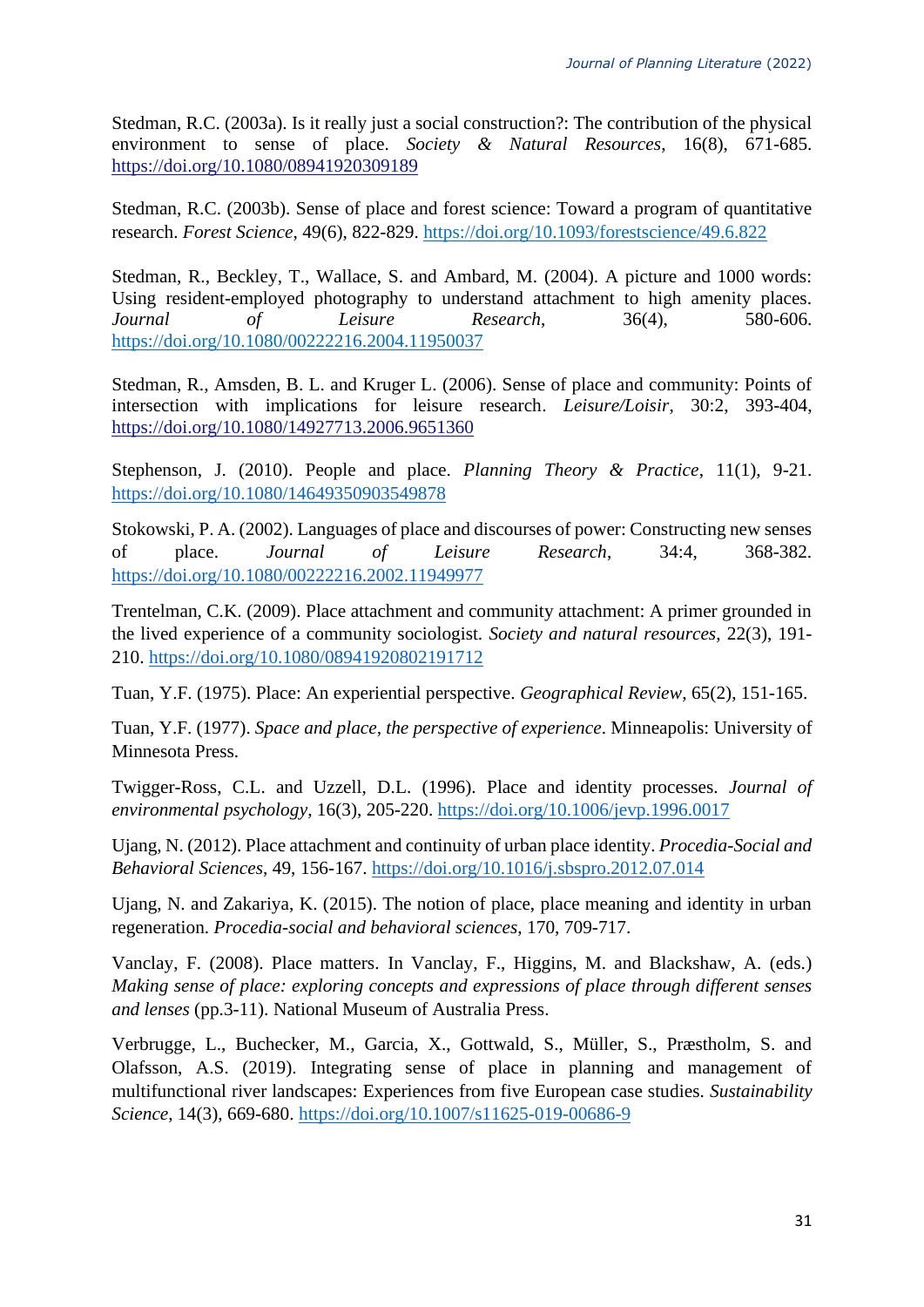Stedman, R.C. (2003a). Is it really just a social construction?: The contribution of the physical environment to sense of place. *Society & Natural Resources*, 16(8), 671-685. <https://doi.org/10.1080/08941920309189>

Stedman, R.C. (2003b). Sense of place and forest science: Toward a program of quantitative research. *Forest Science*, 49(6), 822-829.<https://doi.org/10.1093/forestscience/49.6.822>

Stedman, R., Beckley, T., Wallace, S. and Ambard, M. (2004). A picture and 1000 words: Using resident-employed photography to understand attachment to high amenity places. *Journal of Leisure Research*, 36(4), 580-606. <https://doi.org/10.1080/00222216.2004.11950037>

Stedman, R., Amsden, B. L. and Kruger L. (2006). Sense of place and community: Points of intersection with implications for leisure research. *Leisure/Loisir*, 30:2, 393-404, <https://doi.org/10.1080/14927713.2006.9651360>

Stephenson, J. (2010). People and place. *Planning Theory & Practice*, 11(1), 9-21. <https://doi.org/10.1080/14649350903549878>

Stokowski, P. A. (2002). Languages of place and discourses of power: Constructing new senses of place. *Journal of Leisure Research*, 34:4, 368-382. <https://doi.org/10.1080/00222216.2002.11949977>

Trentelman, C.K. (2009). Place attachment and community attachment: A primer grounded in the lived experience of a community sociologist. *Society and natural resources*, 22(3), 191- 210.<https://doi.org/10.1080/08941920802191712>

Tuan, Y.F. (1975). Place: An experiential perspective. *Geographical Review*, 65(2), 151-165.

Tuan, Y.F. (1977). *Space and place, the perspective of experience*. Minneapolis: University of Minnesota Press.

Twigger-Ross, C.L. and Uzzell, D.L. (1996). Place and identity processes. *Journal of environmental psychology*, 16(3), 205-220.<https://doi.org/10.1006/jevp.1996.0017>

Ujang, N. (2012). Place attachment and continuity of urban place identity. *Procedia-Social and Behavioral Sciences*, 49, 156-167. <https://doi.org/10.1016/j.sbspro.2012.07.014>

Ujang, N. and Zakariya, K. (2015). The notion of place, place meaning and identity in urban regeneration. *Procedia-social and behavioral sciences*, 170, 709-717.

Vanclay, F. (2008). Place matters. In Vanclay, F., Higgins, M. and Blackshaw, A. (eds.) *Making sense of place: exploring concepts and expressions of place through different senses and lenses* (pp.3-11). National Museum of Australia Press.

Verbrugge, L., Buchecker, M., Garcia, X., Gottwald, S., Müller, S., Præstholm, S. and Olafsson, A.S. (2019). Integrating sense of place in planning and management of multifunctional river landscapes: Experiences from five European case studies. *Sustainability Science*, 14(3), 669-680.<https://doi.org/10.1007/s11625-019-00686-9>